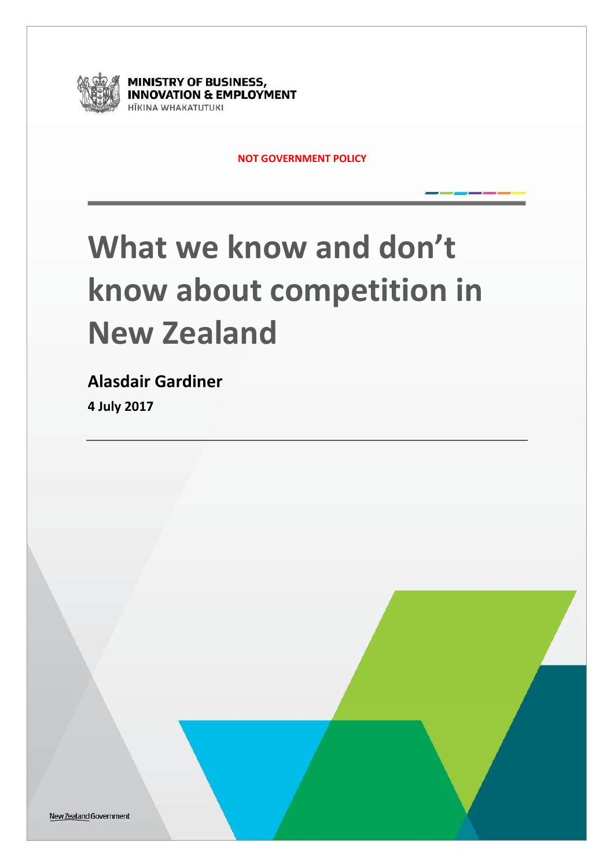

**MINISTRY OF BUSINESS, INNOVATION & EMPLOYMENT ITKINA WHAKATUTUKI** 

**NOT GOVERNMENT POLICY**

# **What we know and don't know about competition in New Zealand**

**Alasdair Gardiner** 

**4 July 2017**

New Zealand Government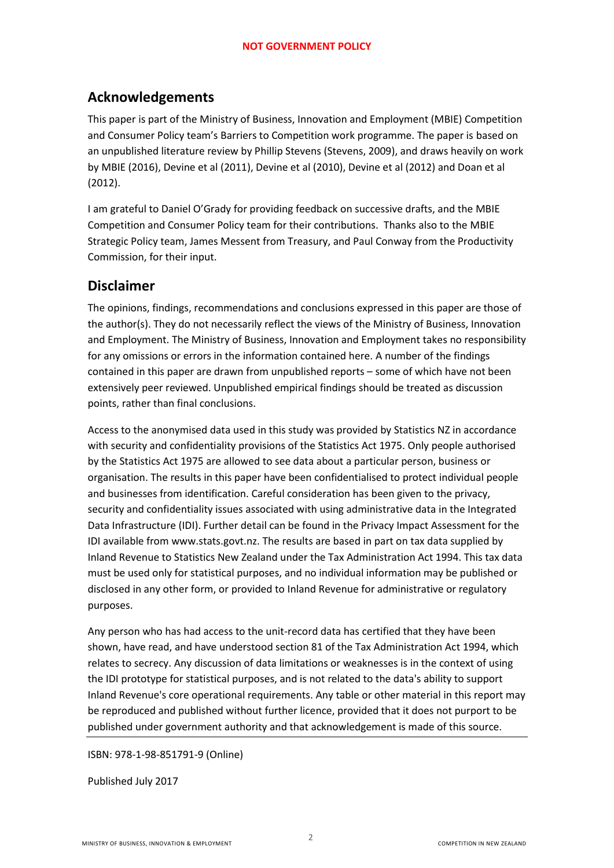## **Acknowledgements**

This paper is part of the Ministry of Business, Innovation and Employment (MBIE) Competition and Consumer Policy team's Barriers to Competition work programme. The paper is based on an unpublished literature review by Phillip Stevens (Stevens, 2009), and draws heavily on work by MBIE (2016), Devine et al (2011), Devine et al (2010), Devine et al (2012) and Doan et al (2012).

I am grateful to Daniel O'Grady for providing feedback on successive drafts, and the MBIE Competition and Consumer Policy team for their contributions. Thanks also to the MBIE Strategic Policy team, James Messent from Treasury, and Paul Conway from the Productivity Commission, for their input.

### **Disclaimer**

The opinions, findings, recommendations and conclusions expressed in this paper are those of the author(s). They do not necessarily reflect the views of the Ministry of Business, Innovation and Employment. The Ministry of Business, Innovation and Employment takes no responsibility for any omissions or errors in the information contained here. A number of the findings contained in this paper are drawn from unpublished reports – some of which have not been extensively peer reviewed. Unpublished empirical findings should be treated as discussion points, rather than final conclusions.

Access to the anonymised data used in this study was provided by Statistics NZ in accordance with security and confidentiality provisions of the Statistics Act 1975. Only people authorised by the Statistics Act 1975 are allowed to see data about a particular person, business or organisation. The results in this paper have been confidentialised to protect individual people and businesses from identification. Careful consideration has been given to the privacy, security and confidentiality issues associated with using administrative data in the Integrated Data Infrastructure (IDI). Further detail can be found in the Privacy Impact Assessment for the IDI available from www.stats.govt.nz. The results are based in part on tax data supplied by Inland Revenue to Statistics New Zealand under the Tax Administration Act 1994. This tax data must be used only for statistical purposes, and no individual information may be published or disclosed in any other form, or provided to Inland Revenue for administrative or regulatory purposes.

Any person who has had access to the unit-record data has certified that they have been shown, have read, and have understood section 81 of the Tax Administration Act 1994, which relates to secrecy. Any discussion of data limitations or weaknesses is in the context of using the IDI prototype for statistical purposes, and is not related to the data's ability to support Inland Revenue's core operational requirements. Any table or other material in this report may be reproduced and published without further licence, provided that it does not purport to be published under government authority and that acknowledgement is made of this source.

#### ISBN: 978-1-98-851791-9 (Online)

Published July 2017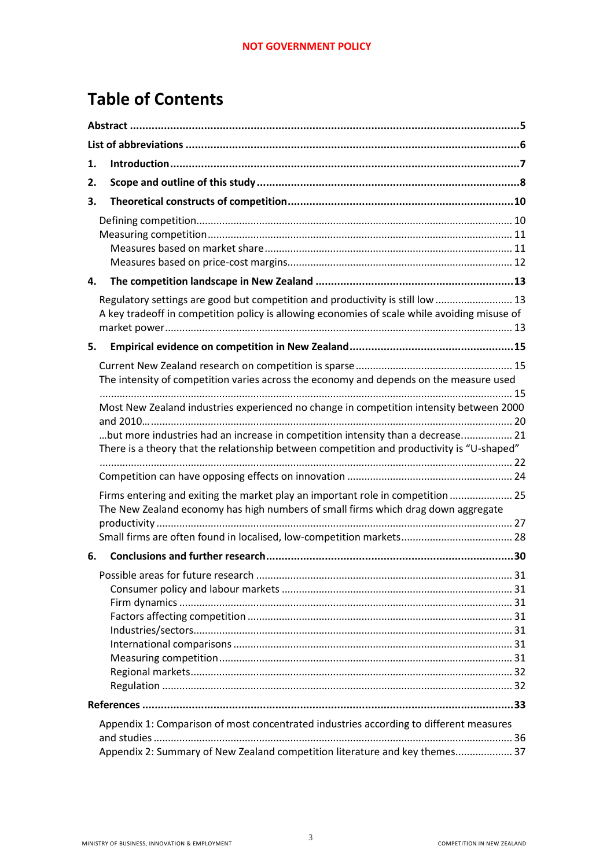# **Table of Contents**

| 1. |                                                                                                                                                                                |  |  |
|----|--------------------------------------------------------------------------------------------------------------------------------------------------------------------------------|--|--|
| 2. |                                                                                                                                                                                |  |  |
| З. |                                                                                                                                                                                |  |  |
|    |                                                                                                                                                                                |  |  |
| 4. |                                                                                                                                                                                |  |  |
|    |                                                                                                                                                                                |  |  |
|    | Regulatory settings are good but competition and productivity is still low  13<br>A key tradeoff in competition policy is allowing economies of scale while avoiding misuse of |  |  |
| 5. |                                                                                                                                                                                |  |  |
|    |                                                                                                                                                                                |  |  |
|    | The intensity of competition varies across the economy and depends on the measure used                                                                                         |  |  |
|    | Most New Zealand industries experienced no change in competition intensity between 2000                                                                                        |  |  |
|    | but more industries had an increase in competition intensity than a decrease 21                                                                                                |  |  |
|    | There is a theory that the relationship between competition and productivity is "U-shaped"                                                                                     |  |  |
|    |                                                                                                                                                                                |  |  |
|    | Firms entering and exiting the market play an important role in competition  25                                                                                                |  |  |
|    | The New Zealand economy has high numbers of small firms which drag down aggregate                                                                                              |  |  |
|    |                                                                                                                                                                                |  |  |
|    |                                                                                                                                                                                |  |  |
| 6. |                                                                                                                                                                                |  |  |
|    |                                                                                                                                                                                |  |  |
|    |                                                                                                                                                                                |  |  |
|    |                                                                                                                                                                                |  |  |
|    |                                                                                                                                                                                |  |  |
|    |                                                                                                                                                                                |  |  |
|    |                                                                                                                                                                                |  |  |
|    |                                                                                                                                                                                |  |  |
|    |                                                                                                                                                                                |  |  |
|    |                                                                                                                                                                                |  |  |
|    | Appendix 1: Comparison of most concentrated industries according to different measures                                                                                         |  |  |
|    |                                                                                                                                                                                |  |  |
|    | Appendix 2: Summary of New Zealand competition literature and key themes 37                                                                                                    |  |  |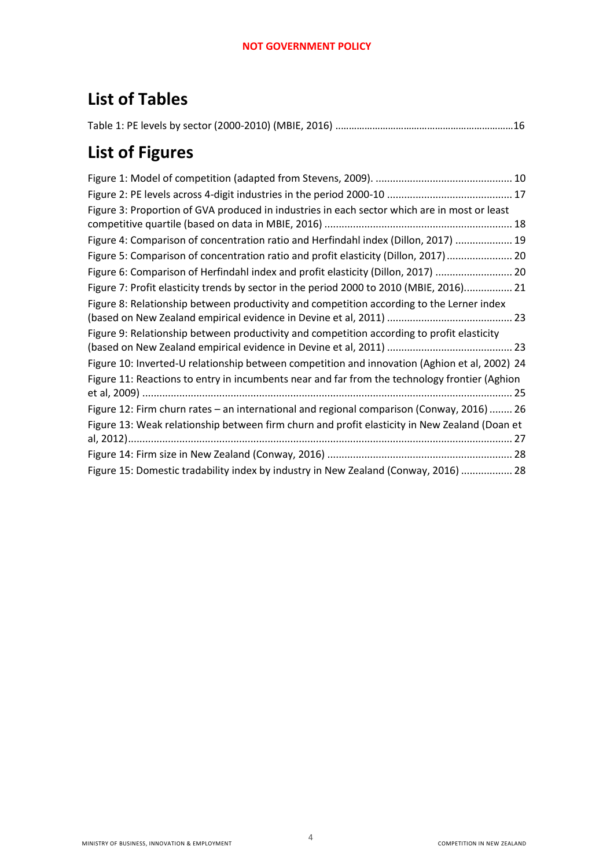# **List of Tables**

# **List of Figures**

| Figure 3: Proportion of GVA produced in industries in each sector which are in most or least        |
|-----------------------------------------------------------------------------------------------------|
|                                                                                                     |
| Figure 4: Comparison of concentration ratio and Herfindahl index (Dillon, 2017)  19                 |
| Figure 5: Comparison of concentration ratio and profit elasticity (Dillon, 2017)  20                |
| Figure 6: Comparison of Herfindahl index and profit elasticity (Dillon, 2017)  20                   |
| Figure 7: Profit elasticity trends by sector in the period 2000 to 2010 (MBIE, 2016) 21             |
| Figure 8: Relationship between productivity and competition according to the Lerner index           |
| Figure 9: Relationship between productivity and competition according to profit elasticity          |
| Figure 10: Inverted-U relationship between competition and innovation (Aghion et al, 2002) 24       |
| Figure 11: Reactions to entry in incumbents near and far from the technology frontier (Aghion       |
| Figure 12: Firm churn rates - an international and regional comparison (Conway, 2016)  26           |
| Figure 13: Weak relationship between firm churn and profit elasticity in New Zealand (Doan et<br>27 |
|                                                                                                     |
| Figure 15: Domestic tradability index by industry in New Zealand (Conway, 2016)  28                 |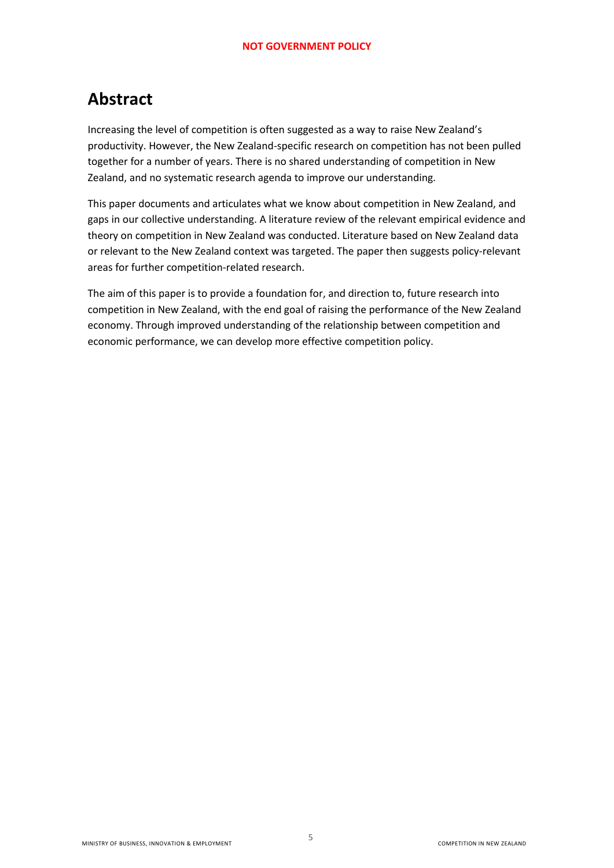# <span id="page-4-0"></span>**Abstract**

Increasing the level of competition is often suggested as a way to raise New Zealand's productivity. However, the New Zealand-specific research on competition has not been pulled together for a number of years. There is no shared understanding of competition in New Zealand, and no systematic research agenda to improve our understanding.

This paper documents and articulates what we know about competition in New Zealand, and gaps in our collective understanding. A literature review of the relevant empirical evidence and theory on competition in New Zealand was conducted. Literature based on New Zealand data or relevant to the New Zealand context was targeted. The paper then suggests policy-relevant areas for further competition-related research.

The aim of this paper is to provide a foundation for, and direction to, future research into competition in New Zealand, with the end goal of raising the performance of the New Zealand economy. Through improved understanding of the relationship between competition and economic performance, we can develop more effective competition policy.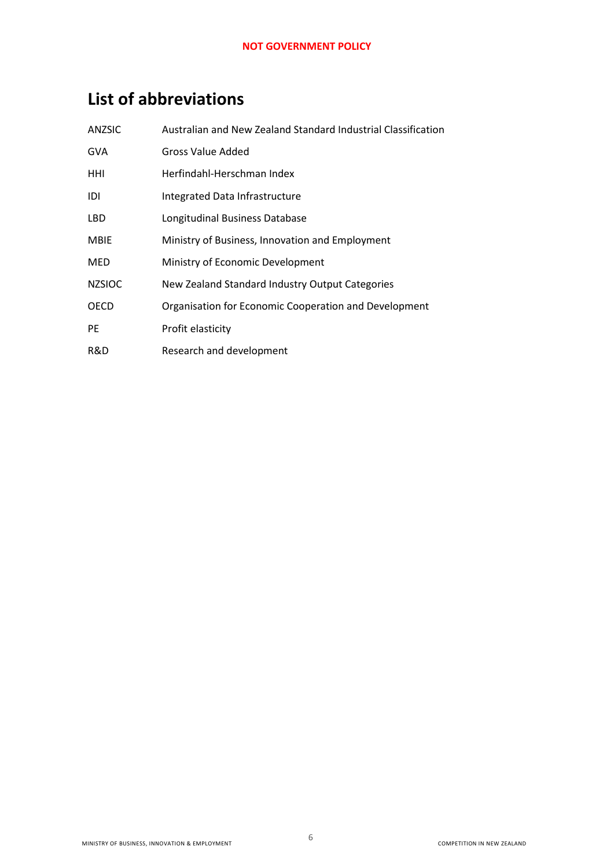# <span id="page-5-0"></span>**List of abbreviations**

| ANZSIC        | Australian and New Zealand Standard Industrial Classification |
|---------------|---------------------------------------------------------------|
| <b>GVA</b>    | Gross Value Added                                             |
| HHI           | Herfindahl-Herschman Index                                    |
| IDI           | Integrated Data Infrastructure                                |
| <b>LBD</b>    | Longitudinal Business Database                                |
| <b>MBIE</b>   | Ministry of Business, Innovation and Employment               |
| <b>MED</b>    | Ministry of Economic Development                              |
| <b>NZSIOC</b> | New Zealand Standard Industry Output Categories               |
| <b>OECD</b>   | Organisation for Economic Cooperation and Development         |
| PE            | Profit elasticity                                             |
| R&D           | Research and development                                      |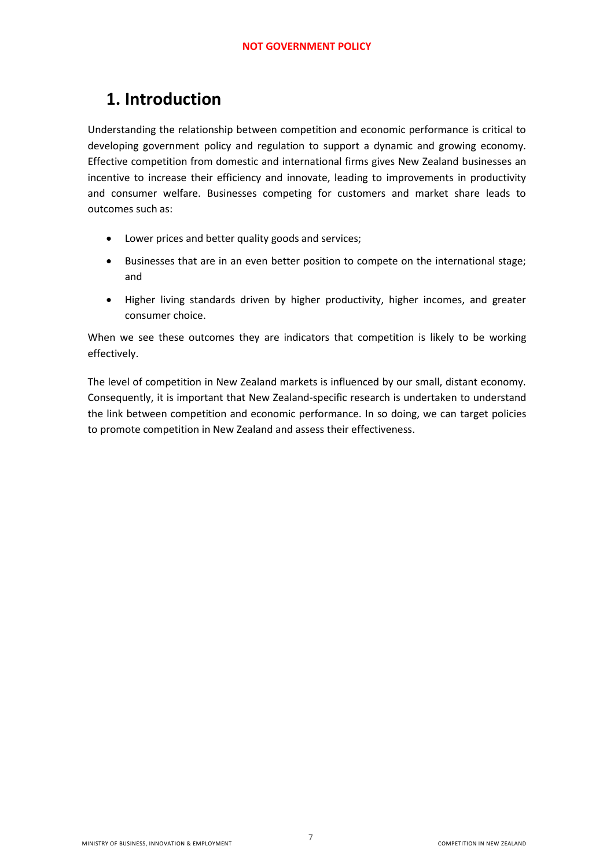# <span id="page-6-0"></span>**1. Introduction**

Understanding the relationship between competition and economic performance is critical to developing government policy and regulation to support a dynamic and growing economy. Effective competition from domestic and international firms gives New Zealand businesses an incentive to increase their efficiency and innovate, leading to improvements in productivity and consumer welfare. Businesses competing for customers and market share leads to outcomes such as:

- Lower prices and better quality goods and services;
- Businesses that are in an even better position to compete on the international stage; and
- Higher living standards driven by higher productivity, higher incomes, and greater consumer choice.

When we see these outcomes they are indicators that competition is likely to be working effectively.

The level of competition in New Zealand markets is influenced by our small, distant economy. Consequently, it is important that New Zealand-specific research is undertaken to understand the link between competition and economic performance. In so doing, we can target policies to promote competition in New Zealand and assess their effectiveness.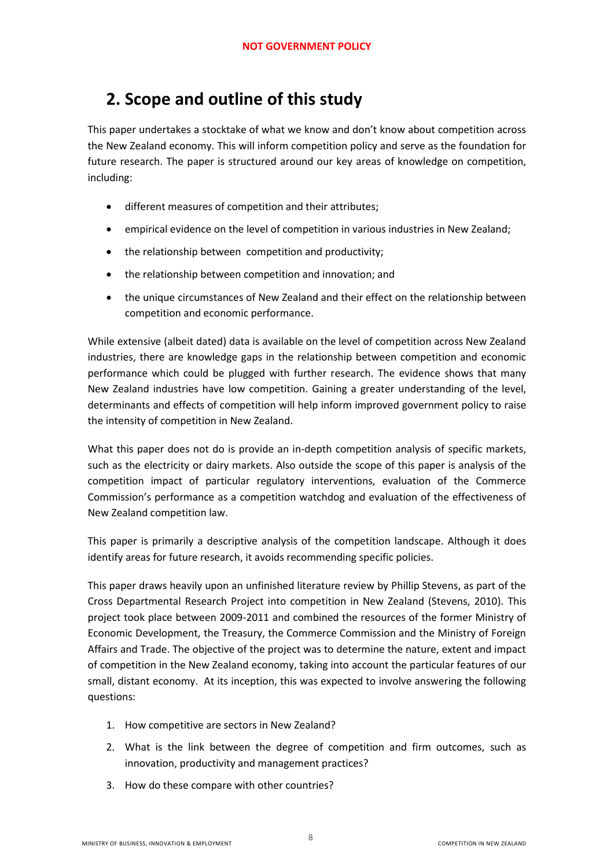# <span id="page-7-0"></span>**2. Scope and outline of this study**

This paper undertakes a stocktake of what we know and don't know about competition across the New Zealand economy. This will inform competition policy and serve as the foundation for future research. The paper is structured around our key areas of knowledge on competition, including:

- different measures of competition and their attributes;
- empirical evidence on the level of competition in various industries in New Zealand;
- the relationship between competition and productivity;
- the relationship between competition and innovation; and
- the unique circumstances of New Zealand and their effect on the relationship between competition and economic performance.

While extensive (albeit dated) data is available on the level of competition across New Zealand industries, there are knowledge gaps in the relationship between competition and economic performance which could be plugged with further research. The evidence shows that many New Zealand industries have low competition. Gaining a greater understanding of the level, determinants and effects of competition will help inform improved government policy to raise the intensity of competition in New Zealand.

What this paper does not do is provide an in-depth competition analysis of specific markets, such as the electricity or dairy markets. Also outside the scope of this paper is analysis of the competition impact of particular regulatory interventions, evaluation of the Commerce Commission's performance as a competition watchdog and evaluation of the effectiveness of New Zealand competition law.

This paper is primarily a descriptive analysis of the competition landscape. Although it does identify areas for future research, it avoids recommending specific policies.

This paper draws heavily upon an unfinished literature review by Phillip Stevens, as part of the Cross Departmental Research Project into competition in New Zealand (Stevens, 2010). This project took place between 2009-2011 and combined the resources of the former Ministry of Economic Development, the Treasury, the Commerce Commission and the Ministry of Foreign Affairs and Trade. The objective of the project was to determine the nature, extent and impact of competition in the New Zealand economy, taking into account the particular features of our small, distant economy. At its inception, this was expected to involve answering the following questions:

- 1. How competitive are sectors in New Zealand?
- 2. What is the link between the degree of competition and firm outcomes, such as innovation, productivity and management practices?
- 3. How do these compare with other countries?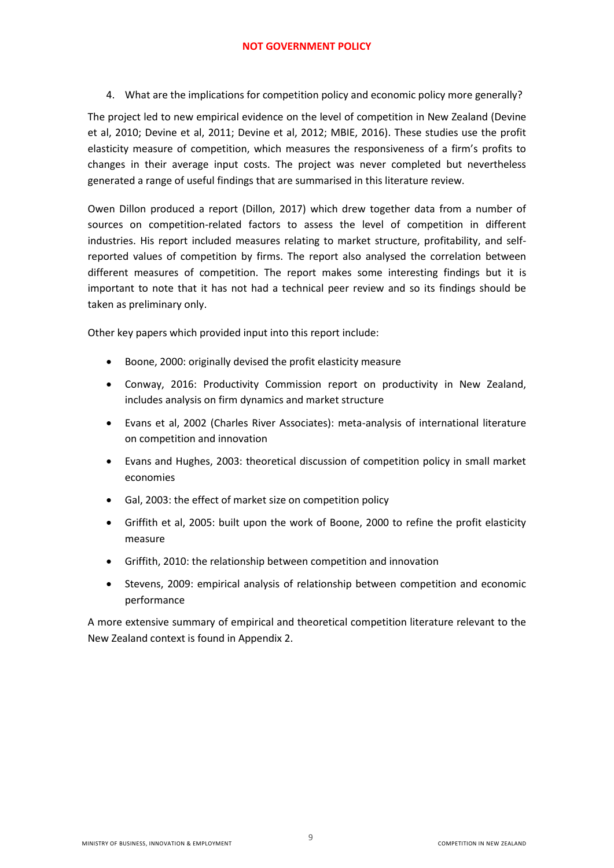4. What are the implications for competition policy and economic policy more generally?

The project led to new empirical evidence on the level of competition in New Zealand (Devine et al, 2010; Devine et al, 2011; Devine et al, 2012; MBIE, 2016). These studies use the profit elasticity measure of competition, which measures the responsiveness of a firm's profits to changes in their average input costs. The project was never completed but nevertheless generated a range of useful findings that are summarised in this literature review.

Owen Dillon produced a report (Dillon, 2017) which drew together data from a number of sources on competition-related factors to assess the level of competition in different industries. His report included measures relating to market structure, profitability, and selfreported values of competition by firms. The report also analysed the correlation between different measures of competition. The report makes some interesting findings but it is important to note that it has not had a technical peer review and so its findings should be taken as preliminary only.

Other key papers which provided input into this report include:

- Boone, 2000: originally devised the profit elasticity measure
- Conway, 2016: Productivity Commission report on productivity in New Zealand, includes analysis on firm dynamics and market structure
- Evans et al, 2002 (Charles River Associates): meta-analysis of international literature on competition and innovation
- Evans and Hughes, 2003: theoretical discussion of competition policy in small market economies
- Gal, 2003: the effect of market size on competition policy
- Griffith et al, 2005: built upon the work of Boone, 2000 to refine the profit elasticity measure
- Griffith, 2010: the relationship between competition and innovation
- Stevens, 2009: empirical analysis of relationship between competition and economic performance

A more extensive summary of empirical and theoretical competition literature relevant to the New Zealand context is found in Appendix 2.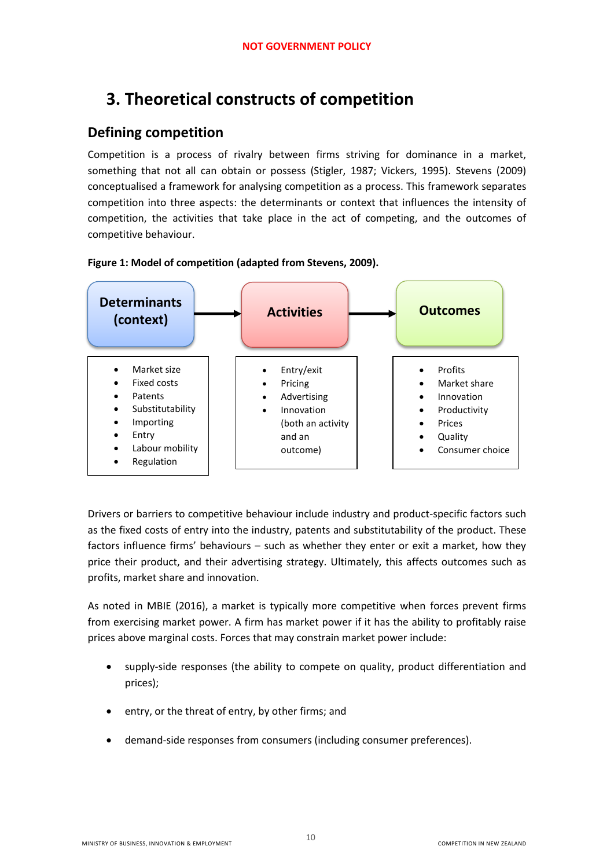# <span id="page-9-0"></span>**3. Theoretical constructs of competition**

### <span id="page-9-1"></span>**Defining competition**

Competition is a process of rivalry between firms striving for dominance in a market, something that not all can obtain or possess (Stigler, 1987; Vickers, 1995). Stevens (2009) conceptualised a framework for analysing competition as a process. This framework separates competition into three aspects: the determinants or context that influences the intensity of competition, the activities that take place in the act of competing, and the outcomes of competitive behaviour.

<span id="page-9-2"></span>



Drivers or barriers to competitive behaviour include industry and product-specific factors such as the fixed costs of entry into the industry, patents and substitutability of the product. These factors influence firms' behaviours – such as whether they enter or exit a market, how they price their product, and their advertising strategy. Ultimately, this affects outcomes such as profits, market share and innovation.

As noted in MBIE (2016), a market is typically more competitive when forces prevent firms from exercising market power. A firm has market power if it has the ability to profitably raise prices above marginal costs. Forces that may constrain market power include:

- supply-side responses (the ability to compete on quality, product differentiation and prices);
- entry, or the threat of entry, by other firms; and
- demand-side responses from consumers (including consumer preferences).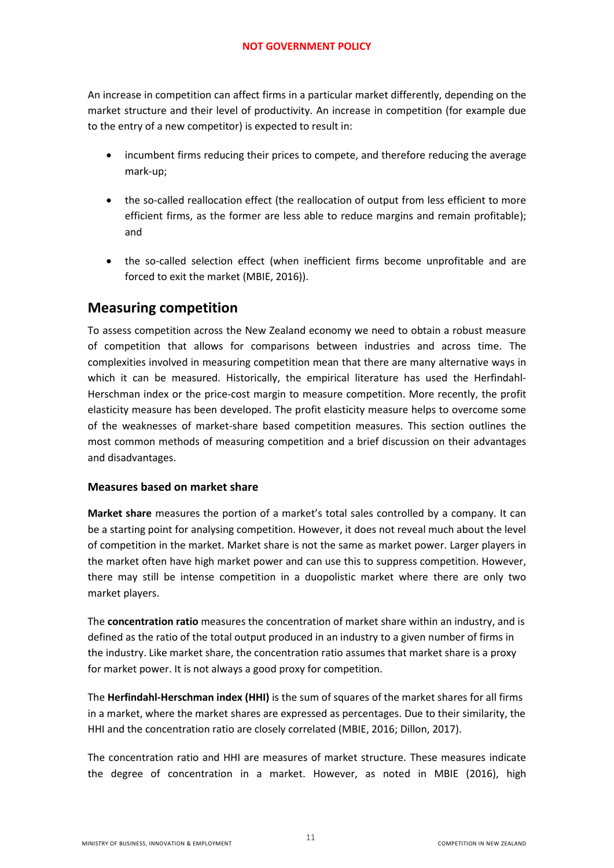An increase in competition can affect firms in a particular market differently, depending on the market structure and their level of productivity. An increase in competition (for example due to the entry of a new competitor) is expected to result in:

- incumbent firms reducing their prices to compete, and therefore reducing the average mark-up;
- the so-called reallocation effect (the reallocation of output from less efficient to more efficient firms, as the former are less able to reduce margins and remain profitable); and
- the so-called selection effect (when inefficient firms become unprofitable and are forced to exit the market (MBIE, 2016)).

### <span id="page-10-0"></span>**Measuring competition**

To assess competition across the New Zealand economy we need to obtain a robust measure of competition that allows for comparisons between industries and across time. The complexities involved in measuring competition mean that there are many alternative ways in which it can be measured. Historically, the empirical literature has used the Herfindahl-Herschman index or the price-cost margin to measure competition. More recently, the profit elasticity measure has been developed. The profit elasticity measure helps to overcome some of the weaknesses of market-share based competition measures. This section outlines the most common methods of measuring competition and a brief discussion on their advantages and disadvantages.

#### <span id="page-10-1"></span>**Measures based on market share**

**Market share** measures the portion of a market's total sales controlled by a company. It can be a starting point for analysing competition. However, it does not reveal much about the level of competition in the market. Market share is not the same as market power. Larger players in the market often have high market power and can use this to suppress competition. However, there may still be intense competition in a duopolistic market where there are only two market players.

The **concentration ratio** measures the concentration of market share within an industry, and is defined as the ratio of the total output produced in an industry to a given number of firms in the industry. Like market share, the concentration ratio assumes that market share is a proxy for market power. It is not always a good proxy for competition.

The **Herfindahl-Herschman index (HHI)** is the sum of squares of the market shares for all firms in a market, where the market shares are expressed as percentages. Due to their similarity, the HHI and the concentration ratio are closely correlated (MBIE, 2016; Dillon, 2017).

The concentration ratio and HHI are measures of market structure. These measures indicate the degree of concentration in a market. However, as noted in MBIE (2016), high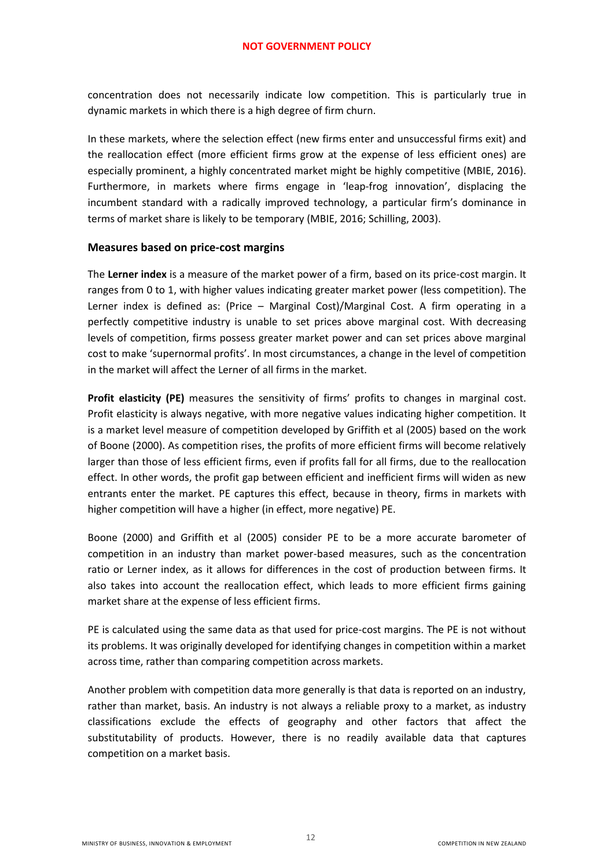concentration does not necessarily indicate low competition. This is particularly true in dynamic markets in which there is a high degree of firm churn.

In these markets, where the selection effect (new firms enter and unsuccessful firms exit) and the reallocation effect (more efficient firms grow at the expense of less efficient ones) are especially prominent, a highly concentrated market might be highly competitive (MBIE, 2016). Furthermore, in markets where firms engage in 'leap-frog innovation', displacing the incumbent standard with a radically improved technology, a particular firm's dominance in terms of market share is likely to be temporary (MBIE, 2016; Schilling, 2003).

#### <span id="page-11-0"></span>**Measures based on price-cost margins**

The **Lerner index** is a measure of the market power of a firm, based on its price-cost margin. It ranges from 0 to 1, with higher values indicating greater market power (less competition). The Lerner index is defined as: (Price – Marginal Cost)/Marginal Cost. A firm operating in a perfectly competitive industry is unable to set prices above marginal cost. With decreasing levels of competition, firms possess greater market power and can set prices above marginal cost to make 'supernormal profits'. In most circumstances, a change in the level of competition in the market will affect the Lerner of all firms in the market.

**Profit elasticity (PE)** measures the sensitivity of firms' profits to changes in marginal cost. Profit elasticity is always negative, with more negative values indicating higher competition. It is a market level measure of competition developed by Griffith et al (2005) based on the work of Boone (2000). As competition rises, the profits of more efficient firms will become relatively larger than those of less efficient firms, even if profits fall for all firms, due to the reallocation effect. In other words, the profit gap between efficient and inefficient firms will widen as new entrants enter the market. PE captures this effect, because in theory, firms in markets with higher competition will have a higher (in effect, more negative) PE.

Boone (2000) and Griffith et al (2005) consider PE to be a more accurate barometer of competition in an industry than market power-based measures, such as the concentration ratio or Lerner index, as it allows for differences in the cost of production between firms. It also takes into account the reallocation effect, which leads to more efficient firms gaining market share at the expense of less efficient firms.

PE is calculated using the same data as that used for price-cost margins. The PE is not without its problems. It was originally developed for identifying changes in competition within a market across time, rather than comparing competition across markets.

Another problem with competition data more generally is that data is reported on an industry, rather than market, basis. An industry is not always a reliable proxy to a market, as industry classifications exclude the effects of geography and other factors that affect the substitutability of products. However, there is no readily available data that captures competition on a market basis.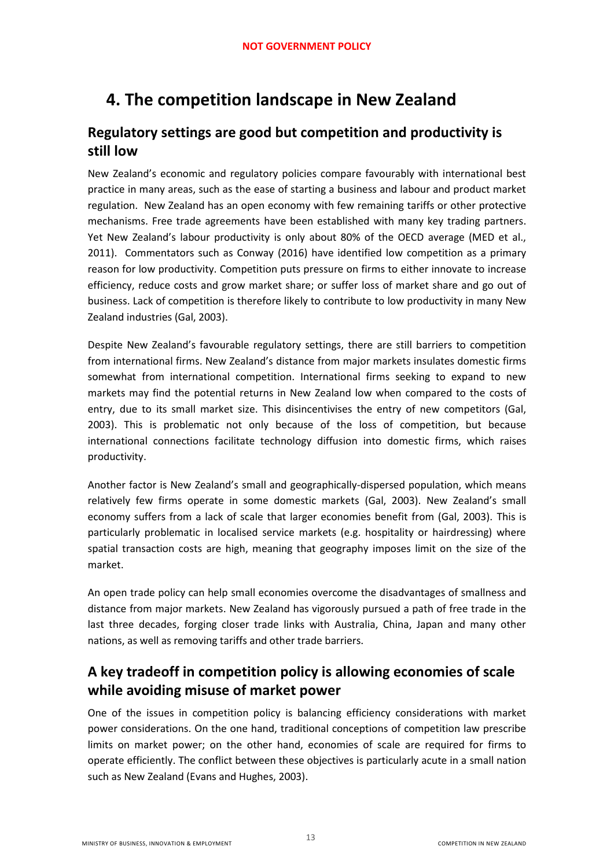# <span id="page-12-0"></span>**4. The competition landscape in New Zealand**

# <span id="page-12-1"></span>**Regulatory settings are good but competition and productivity is still low**

New Zealand's economic and regulatory policies compare favourably with international best practice in many areas, such as the ease of starting a business and labour and product market regulation. New Zealand has an open economy with few remaining tariffs or other protective mechanisms. Free trade agreements have been established with many key trading partners. Yet New Zealand's labour productivity is only about 80% of the OECD average (MED et al., 2011). Commentators such as Conway (2016) have identified low competition as a primary reason for low productivity. Competition puts pressure on firms to either innovate to increase efficiency, reduce costs and grow market share; or suffer loss of market share and go out of business. Lack of competition is therefore likely to contribute to low productivity in many New Zealand industries (Gal, 2003).

Despite New Zealand's favourable regulatory settings, there are still barriers to competition from international firms. New Zealand's distance from major markets insulates domestic firms somewhat from international competition. International firms seeking to expand to new markets may find the potential returns in New Zealand low when compared to the costs of entry, due to its small market size. This disincentivises the entry of new competitors (Gal, 2003). This is problematic not only because of the loss of competition, but because international connections facilitate technology diffusion into domestic firms, which raises productivity.

Another factor is New Zealand's small and geographically-dispersed population, which means relatively few firms operate in some domestic markets (Gal, 2003). New Zealand's small economy suffers from a lack of scale that larger economies benefit from (Gal, 2003). This is particularly problematic in localised service markets (e.g. hospitality or hairdressing) where spatial transaction costs are high, meaning that geography imposes limit on the size of the market.

An open trade policy can help small economies overcome the disadvantages of smallness and distance from major markets. New Zealand has vigorously pursued a path of free trade in the last three decades, forging closer trade links with Australia, China, Japan and many other nations, as well as removing tariffs and other trade barriers.

# <span id="page-12-2"></span>**A key tradeoff in competition policy is allowing economies of scale while avoiding misuse of market power**

One of the issues in competition policy is balancing efficiency considerations with market power considerations. On the one hand, traditional conceptions of competition law prescribe limits on market power; on the other hand, economies of scale are required for firms to operate efficiently. The conflict between these objectives is particularly acute in a small nation such as New Zealand (Evans and Hughes, 2003).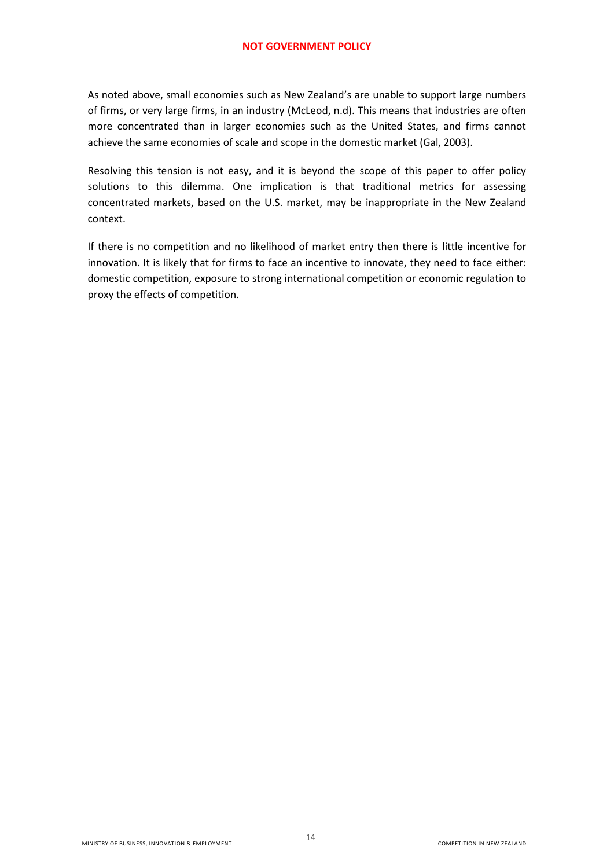As noted above, small economies such as New Zealand's are unable to support large numbers of firms, or very large firms, in an industry (McLeod, n.d). This means that industries are often more concentrated than in larger economies such as the United States, and firms cannot achieve the same economies of scale and scope in the domestic market (Gal, 2003).

Resolving this tension is not easy, and it is beyond the scope of this paper to offer policy solutions to this dilemma. One implication is that traditional metrics for assessing concentrated markets, based on the U.S. market, may be inappropriate in the New Zealand context.

If there is no competition and no likelihood of market entry then there is little incentive for innovation. It is likely that for firms to face an incentive to innovate, they need to face either: domestic competition, exposure to strong international competition or economic regulation to proxy the effects of competition.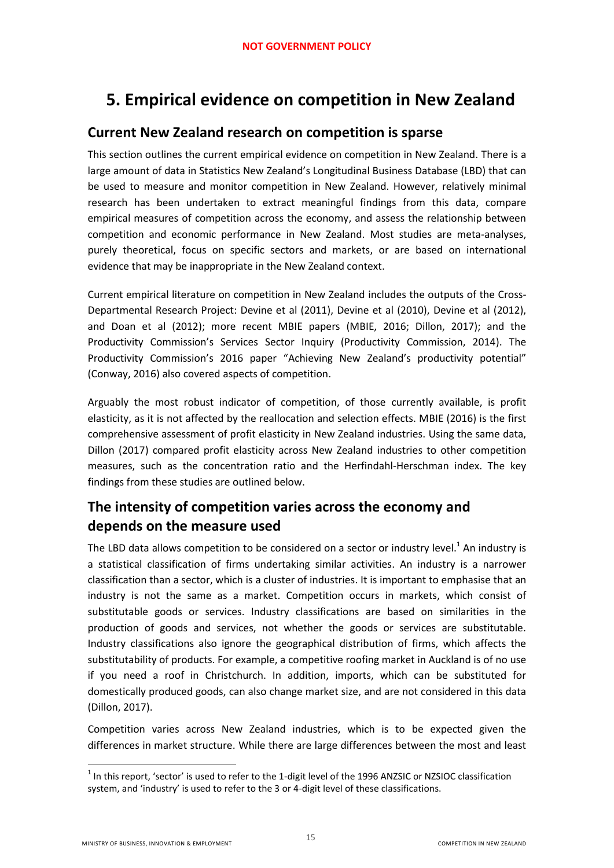# <span id="page-14-0"></span>**5. Empirical evidence on competition in New Zealand**

### <span id="page-14-1"></span>**Current New Zealand research on competition is sparse**

This section outlines the current empirical evidence on competition in New Zealand. There is a large amount of data in Statistics New Zealand's Longitudinal Business Database (LBD) that can be used to measure and monitor competition in New Zealand. However, relatively minimal research has been undertaken to extract meaningful findings from this data, compare empirical measures of competition across the economy, and assess the relationship between competition and economic performance in New Zealand. Most studies are meta-analyses, purely theoretical, focus on specific sectors and markets, or are based on international evidence that may be inappropriate in the New Zealand context.

Current empirical literature on competition in New Zealand includes the outputs of the Cross-Departmental Research Project: Devine et al (2011), Devine et al (2010), Devine et al (2012), and Doan et al (2012); more recent MBIE papers (MBIE, 2016; Dillon, 2017); and the Productivity Commission's Services Sector Inquiry (Productivity Commission, 2014). The Productivity Commission's 2016 paper "Achieving New Zealand's productivity potential" (Conway, 2016) also covered aspects of competition.

Arguably the most robust indicator of competition, of those currently available, is profit elasticity, as it is not affected by the reallocation and selection effects. MBIE (2016) is the first comprehensive assessment of profit elasticity in New Zealand industries. Using the same data, Dillon (2017) compared profit elasticity across New Zealand industries to other competition measures, such as the concentration ratio and the Herfindahl-Herschman index. The key findings from these studies are outlined below.

# <span id="page-14-2"></span>**The intensity of competition varies across the economy and depends on the measure used**

The LBD data allows competition to be considered on a sector or industry level.<sup>1</sup> An industry is a statistical classification of firms undertaking similar activities. An industry is a narrower classification than a sector, which is a cluster of industries. It is important to emphasise that an industry is not the same as a market. Competition occurs in markets, which consist of substitutable goods or services. Industry classifications are based on similarities in the production of goods and services, not whether the goods or services are substitutable. Industry classifications also ignore the geographical distribution of firms, which affects the substitutability of products. For example, a competitive roofing market in Auckland is of no use if you need a roof in Christchurch. In addition, imports, which can be substituted for domestically produced goods, can also change market size, and are not considered in this data (Dillon, 2017).

Competition varies across New Zealand industries, which is to be expected given the differences in market structure. While there are large differences between the most and least

1

 $<sup>1</sup>$  In this report, 'sector' is used to refer to the 1-digit level of the 1996 ANZSIC or NZSIOC classification</sup> system, and 'industry' is used to refer to the 3 or 4-digit level of these classifications.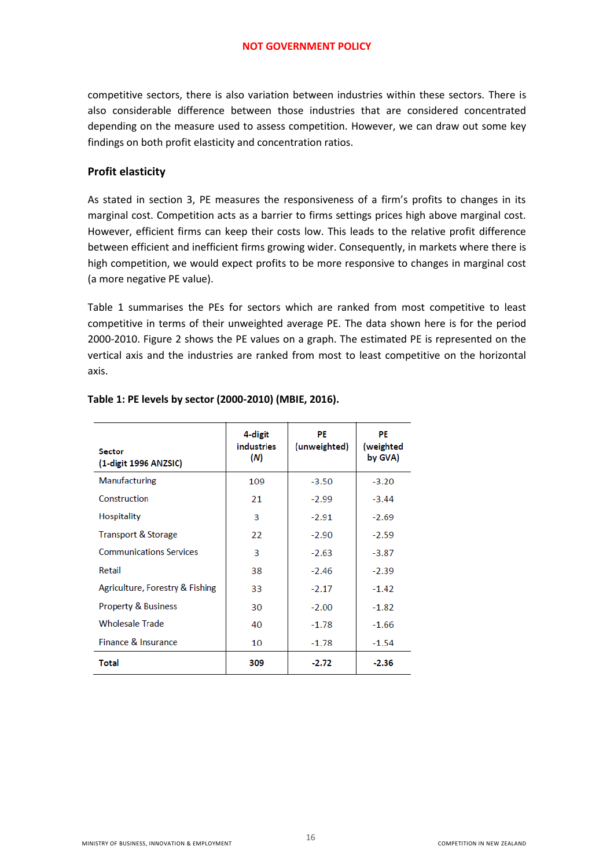competitive sectors, there is also variation between industries within these sectors. There is also considerable difference between those industries that are considered concentrated depending on the measure used to assess competition. However, we can draw out some key findings on both profit elasticity and concentration ratios.

#### **Profit elasticity**

As stated in section 3, PE measures the responsiveness of a firm's profits to changes in its marginal cost. Competition acts as a barrier to firms settings prices high above marginal cost. However, efficient firms can keep their costs low. This leads to the relative profit difference between efficient and inefficient firms growing wider. Consequently, in markets where there is high competition, we would expect profits to be more responsive to changes in marginal cost (a more negative PE value).

Table 1 summarises the PEs for sectors which are ranked from most competitive to least competitive in terms of their unweighted average PE. The data shown here is for the period 2000-2010. Figure 2 shows the PE values on a graph. The estimated PE is represented on the vertical axis and the industries are ranked from most to least competitive on the horizontal axis.

| <b>Sector</b><br>(1-digit 1996 ANZSIC) | 4-digit<br><i>industries</i><br>(N) | PE<br>(unweighted) | PE<br>(weighted<br>by GVA) |
|----------------------------------------|-------------------------------------|--------------------|----------------------------|
| Manufacturing                          | 109                                 | $-3.50$            | $-3.20$                    |
| Construction                           | 21                                  | $-2.99$            | $-3.44$                    |
| <b>Hospitality</b>                     | 3                                   | $-2.91$            | $-2.69$                    |
| <b>Transport &amp; Storage</b>         | 22                                  | $-2.90$            | $-2.59$                    |
| <b>Communications Services</b>         | 3                                   | $-2.63$            | $-3.87$                    |
| Retail                                 | 38                                  | $-2.46$            | $-2.39$                    |
| Agriculture, Forestry & Fishing        | 33                                  | $-2.17$            | $-1.42$                    |
| <b>Property &amp; Business</b>         | 30                                  | $-2.00$            | $-1.82$                    |
| <b>Wholesale Trade</b>                 | 40                                  | $-1.78$            | $-1.66$                    |
| Finance & Insurance                    | 10                                  | $-1.78$            | $-1.54$                    |
| <b>Total</b>                           | 309                                 | $-2.72$            | $-2.36$                    |

#### **Table 1: PE levels by sector (2000-2010) (MBIE, 2016).**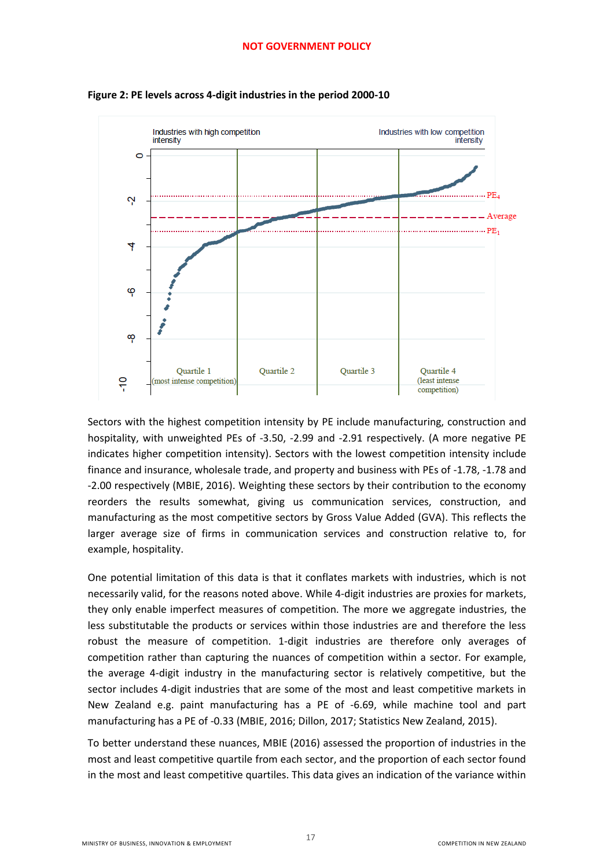

<span id="page-16-0"></span>**Figure 2: PE levels across 4-digit industries in the period 2000-10**

Sectors with the highest competition intensity by PE include manufacturing, construction and hospitality, with unweighted PEs of -3.50, -2.99 and -2.91 respectively. (A more negative PE indicates higher competition intensity). Sectors with the lowest competition intensity include finance and insurance, wholesale trade, and property and business with PEs of -1.78, -1.78 and -2.00 respectively (MBIE, 2016). Weighting these sectors by their contribution to the economy reorders the results somewhat, giving us communication services, construction, and manufacturing as the most competitive sectors by Gross Value Added (GVA). This reflects the larger average size of firms in communication services and construction relative to, for example, hospitality.

One potential limitation of this data is that it conflates markets with industries, which is not necessarily valid, for the reasons noted above. While 4-digit industries are proxies for markets, they only enable imperfect measures of competition. The more we aggregate industries, the less substitutable the products or services within those industries are and therefore the less robust the measure of competition. 1-digit industries are therefore only averages of competition rather than capturing the nuances of competition within a sector. For example, the average 4-digit industry in the manufacturing sector is relatively competitive, but the sector includes 4-digit industries that are some of the most and least competitive markets in New Zealand e.g. paint manufacturing has a PE of -6.69, while machine tool and part manufacturing has a PE of -0.33 (MBIE, 2016; Dillon, 2017; Statistics New Zealand, 2015).

To better understand these nuances, MBIE (2016) assessed the proportion of industries in the most and least competitive quartile from each sector, and the proportion of each sector found in the most and least competitive quartiles. This data gives an indication of the variance within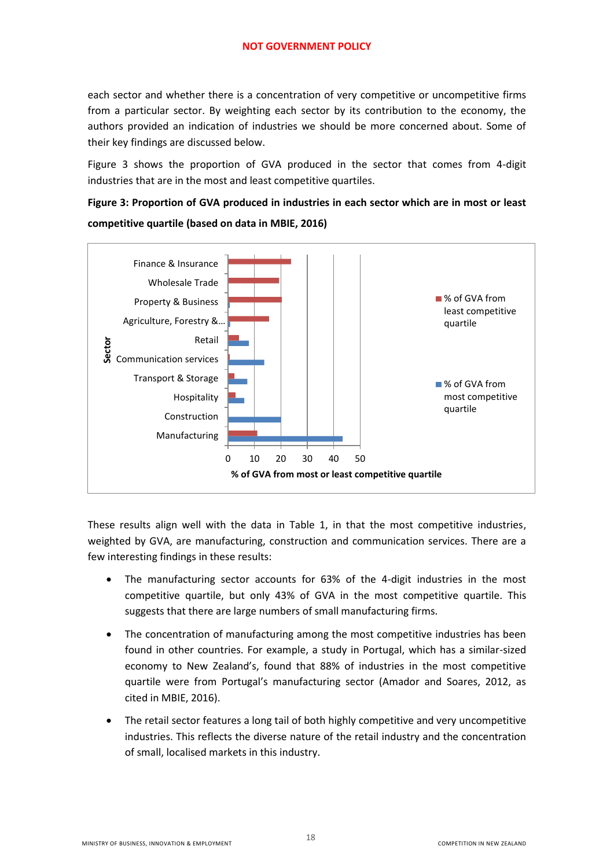each sector and whether there is a concentration of very competitive or uncompetitive firms from a particular sector. By weighting each sector by its contribution to the economy, the authors provided an indication of industries we should be more concerned about. Some of their key findings are discussed below.

Figure 3 shows the proportion of GVA produced in the sector that comes from 4-digit industries that are in the most and least competitive quartiles.

<span id="page-17-0"></span>**Figure 3: Proportion of GVA produced in industries in each sector which are in most or least competitive quartile (based on data in MBIE, 2016)** 



These results align well with the data in Table 1, in that the most competitive industries, weighted by GVA, are manufacturing, construction and communication services. There are a few interesting findings in these results:

- The manufacturing sector accounts for 63% of the 4-digit industries in the most competitive quartile, but only 43% of GVA in the most competitive quartile. This suggests that there are large numbers of small manufacturing firms.
- The concentration of manufacturing among the most competitive industries has been found in other countries. For example, a study in Portugal, which has a similar-sized economy to New Zealand's, found that 88% of industries in the most competitive quartile were from Portugal's manufacturing sector (Amador and Soares, 2012, as cited in MBIE, 2016).
- The retail sector features a long tail of both highly competitive and very uncompetitive industries. This reflects the diverse nature of the retail industry and the concentration of small, localised markets in this industry.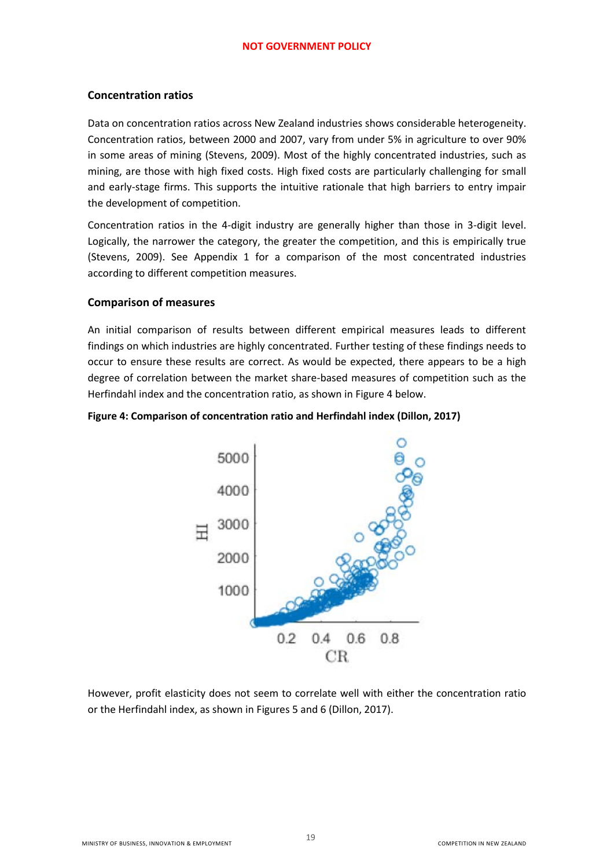#### **Concentration ratios**

Data on concentration ratios across New Zealand industries shows considerable heterogeneity. Concentration ratios, between 2000 and 2007, vary from under 5% in agriculture to over 90% in some areas of mining (Stevens, 2009). Most of the highly concentrated industries, such as mining, are those with high fixed costs. High fixed costs are particularly challenging for small and early-stage firms. This supports the intuitive rationale that high barriers to entry impair the development of competition.

Concentration ratios in the 4-digit industry are generally higher than those in 3-digit level. Logically, the narrower the category, the greater the competition, and this is empirically true (Stevens, 2009). See Appendix 1 for a comparison of the most concentrated industries according to different competition measures.

#### **Comparison of measures**

An initial comparison of results between different empirical measures leads to different findings on which industries are highly concentrated. Further testing of these findings needs to occur to ensure these results are correct. As would be expected, there appears to be a high degree of correlation between the market share-based measures of competition such as the Herfindahl index and the concentration ratio, as shown in Figure 4 below.

#### <span id="page-18-0"></span>**Figure 4: Comparison of concentration ratio and Herfindahl index (Dillon, 2017)**



However, profit elasticity does not seem to correlate well with either the concentration ratio or the Herfindahl index, as shown in Figures 5 and 6 (Dillon, 2017).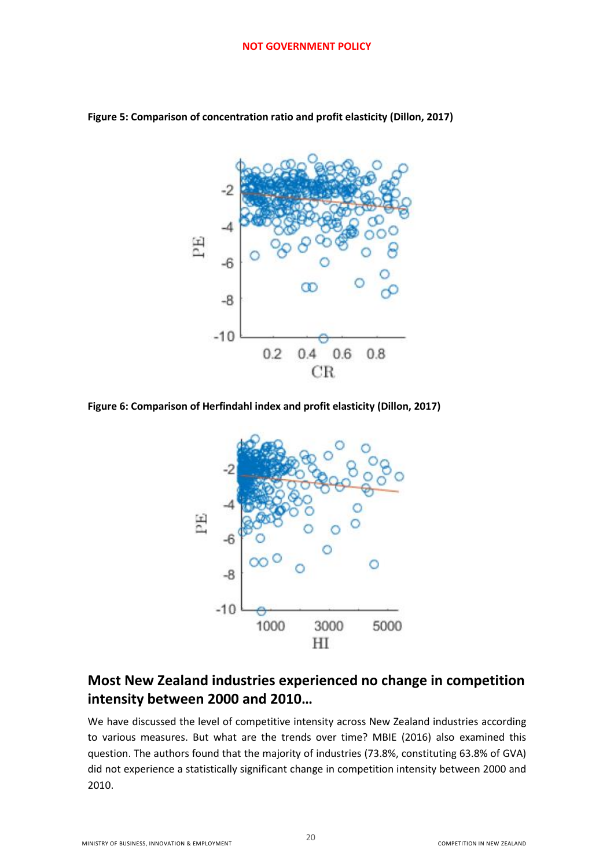

<span id="page-19-1"></span>**Figure 5: Comparison of concentration ratio and profit elasticity (Dillon, 2017)** 

<span id="page-19-2"></span>**Figure 6: Comparison of Herfindahl index and profit elasticity (Dillon, 2017)** 



### <span id="page-19-0"></span>**Most New Zealand industries experienced no change in competition intensity between 2000 and 2010…**

We have discussed the level of competitive intensity across New Zealand industries according to various measures. But what are the trends over time? MBIE (2016) also examined this question. The authors found that the majority of industries (73.8%, constituting 63.8% of GVA) did not experience a statistically significant change in competition intensity between 2000 and 2010.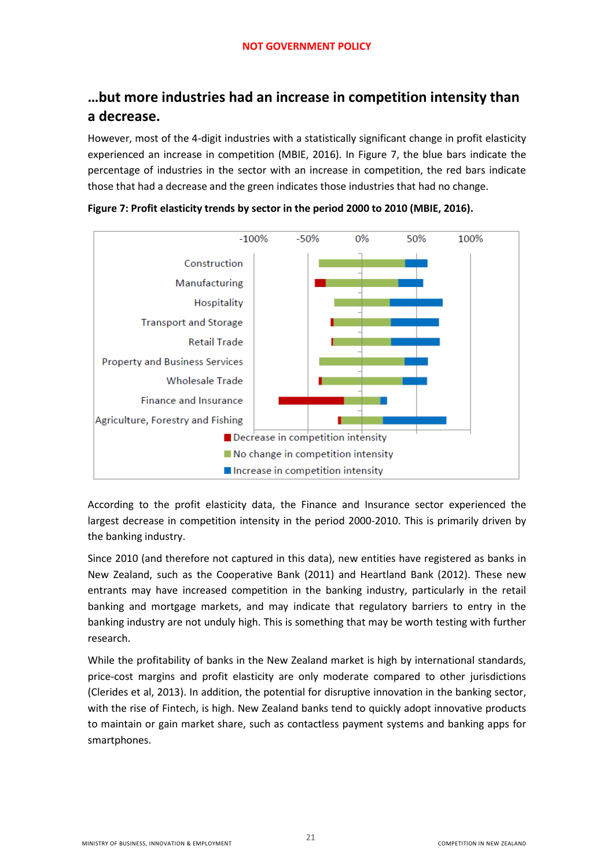# <span id="page-20-0"></span>**…but more industries had an increase in competition intensity than a decrease.**

However, most of the 4-digit industries with a statistically significant change in profit elasticity experienced an increase in competition (MBIE, 2016). In Figure 7, the blue bars indicate the percentage of industries in the sector with an increase in competition, the red bars indicate those that had a decrease and the green indicates those industries that had no change.



<span id="page-20-1"></span>**Figure 7: Profit elasticity trends by sector in the period 2000 to 2010 (MBIE, 2016).** 

According to the profit elasticity data, the Finance and Insurance sector experienced the largest decrease in competition intensity in the period 2000-2010. This is primarily driven by the banking industry.

Since 2010 (and therefore not captured in this data), new entities have registered as banks in New Zealand, such as the Cooperative Bank (2011) and Heartland Bank (2012). These new entrants may have increased competition in the banking industry, particularly in the retail banking and mortgage markets, and may indicate that regulatory barriers to entry in the banking industry are not unduly high. This is something that may be worth testing with further research.

While the profitability of banks in the New Zealand market is high by international standards, price-cost margins and profit elasticity are only moderate compared to other jurisdictions (Clerides et al, 2013). In addition, the potential for disruptive innovation in the banking sector, with the rise of Fintech, is high. New Zealand banks tend to quickly adopt innovative products to maintain or gain market share, such as contactless payment systems and banking apps for smartphones.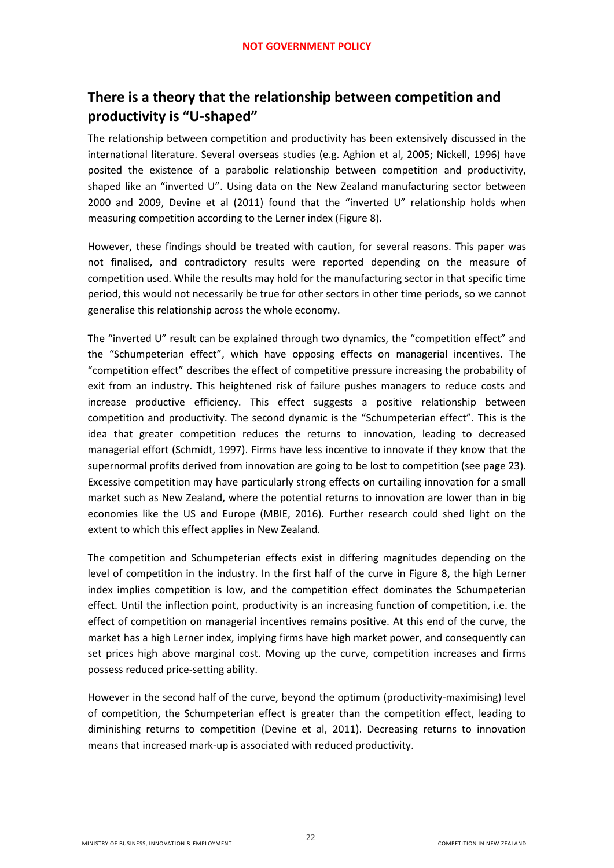# <span id="page-21-0"></span>**There is a theory that the relationship between competition and productivity is "U-shaped"**

The relationship between competition and productivity has been extensively discussed in the international literature. Several overseas studies (e.g. Aghion et al, 2005; Nickell, 1996) have posited the existence of a parabolic relationship between competition and productivity, shaped like an "inverted U". Using data on the New Zealand manufacturing sector between 2000 and 2009, Devine et al (2011) found that the "inverted U" relationship holds when measuring competition according to the Lerner index (Figure 8).

However, these findings should be treated with caution, for several reasons. This paper was not finalised, and contradictory results were reported depending on the measure of competition used. While the results may hold for the manufacturing sector in that specific time period, this would not necessarily be true for other sectors in other time periods, so we cannot generalise this relationship across the whole economy.

The "inverted U" result can be explained through two dynamics, the "competition effect" and the "Schumpeterian effect", which have opposing effects on managerial incentives. The "competition effect" describes the effect of competitive pressure increasing the probability of exit from an industry. This heightened risk of failure pushes managers to reduce costs and increase productive efficiency. This effect suggests a positive relationship between competition and productivity. The second dynamic is the "Schumpeterian effect". This is the idea that greater competition reduces the returns to innovation, leading to decreased managerial effort (Schmidt, 1997). Firms have less incentive to innovate if they know that the supernormal profits derived from innovation are going to be lost to competition (see page 23). Excessive competition may have particularly strong effects on curtailing innovation for a small market such as New Zealand, where the potential returns to innovation are lower than in big economies like the US and Europe (MBIE, 2016). Further research could shed light on the extent to which this effect applies in New Zealand.

The competition and Schumpeterian effects exist in differing magnitudes depending on the level of competition in the industry. In the first half of the curve in Figure 8, the high Lerner index implies competition is low, and the competition effect dominates the Schumpeterian effect. Until the inflection point, productivity is an increasing function of competition, i.e. the effect of competition on managerial incentives remains positive. At this end of the curve, the market has a high Lerner index, implying firms have high market power, and consequently can set prices high above marginal cost. Moving up the curve, competition increases and firms possess reduced price-setting ability.

However in the second half of the curve, beyond the optimum (productivity-maximising) level of competition, the Schumpeterian effect is greater than the competition effect, leading to diminishing returns to competition (Devine et al, 2011). Decreasing returns to innovation means that increased mark-up is associated with reduced productivity.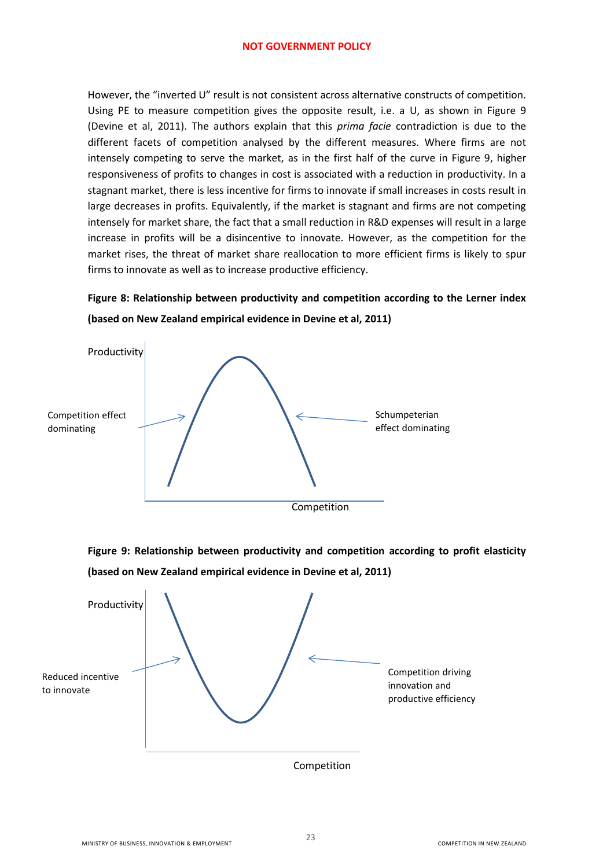However, the "inverted U" result is not consistent across alternative constructs of competition. Using PE to measure competition gives the opposite result, i.e. a U, as shown in Figure 9 (Devine et al, 2011). The authors explain that this *prima facie* contradiction is due to the different facets of competition analysed by the different measures. Where firms are not intensely competing to serve the market, as in the first half of the curve in Figure 9, higher responsiveness of profits to changes in cost is associated with a reduction in productivity. In a stagnant market, there is less incentive for firms to innovate if small increases in costs result in large decreases in profits. Equivalently, if the market is stagnant and firms are not competing intensely for market share, the fact that a small reduction in R&D expenses will result in a large increase in profits will be a disincentive to innovate. However, as the competition for the market rises, the threat of market share reallocation to more efficient firms is likely to spur firms to innovate as well as to increase productive efficiency.

### <span id="page-22-0"></span>**Figure 8: Relationship between productivity and competition according to the Lerner index (based on New Zealand empirical evidence in Devine et al, 2011)**



<span id="page-22-1"></span>**Figure 9: Relationship between productivity and competition according to profit elasticity (based on New Zealand empirical evidence in Devine et al, 2011)** 

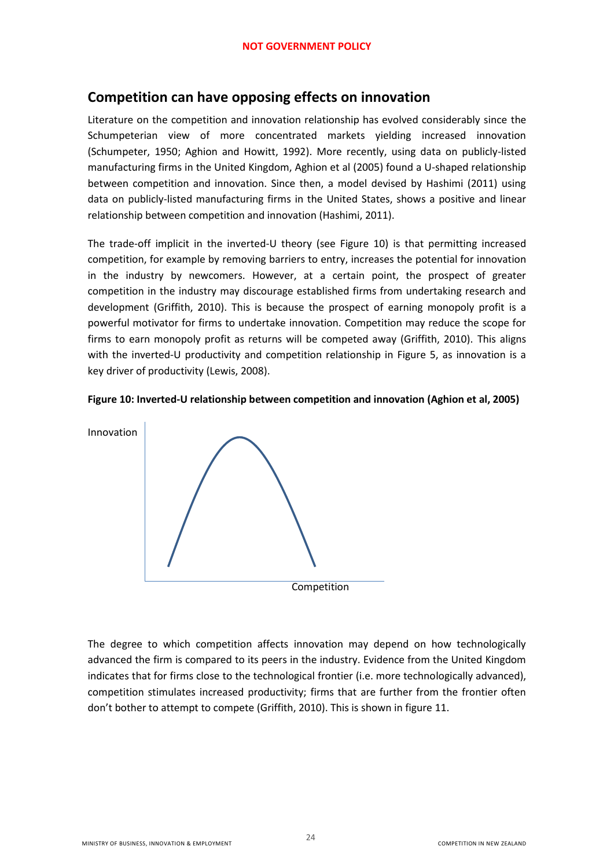### <span id="page-23-0"></span>**Competition can have opposing effects on innovation**

Literature on the competition and innovation relationship has evolved considerably since the Schumpeterian view of more concentrated markets yielding increased innovation (Schumpeter, 1950; Aghion and Howitt, 1992). More recently, using data on publicly-listed manufacturing firms in the United Kingdom, Aghion et al (2005) found a U-shaped relationship between competition and innovation. Since then, a model devised by Hashimi (2011) using data on publicly-listed manufacturing firms in the United States, shows a positive and linear relationship between competition and innovation (Hashimi, 2011).

The trade-off implicit in the inverted-U theory (see Figure 10) is that permitting increased competition, for example by removing barriers to entry, increases the potential for innovation in the industry by newcomers. However, at a certain point, the prospect of greater competition in the industry may discourage established firms from undertaking research and development (Griffith, 2010). This is because the prospect of earning monopoly profit is a powerful motivator for firms to undertake innovation. Competition may reduce the scope for firms to earn monopoly profit as returns will be competed away (Griffith, 2010). This aligns with the inverted-U productivity and competition relationship in Figure 5, as innovation is a key driver of productivity (Lewis, 2008).

<span id="page-23-1"></span>



The degree to which competition affects innovation may depend on how technologically advanced the firm is compared to its peers in the industry. Evidence from the United Kingdom indicates that for firms close to the technological frontier (i.e. more technologically advanced), competition stimulates increased productivity; firms that are further from the frontier often don't bother to attempt to compete (Griffith, 2010). This is shown in figure 11.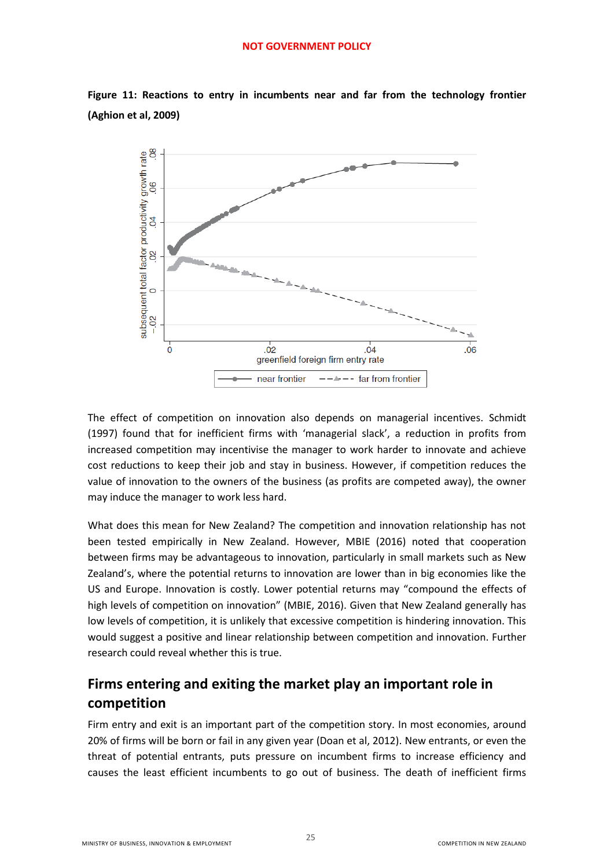

<span id="page-24-1"></span>**Figure 11: Reactions to entry in incumbents near and far from the technology frontier (Aghion et al, 2009)** 

The effect of competition on innovation also depends on managerial incentives. Schmidt (1997) found that for inefficient firms with 'managerial slack', a reduction in profits from increased competition may incentivise the manager to work harder to innovate and achieve cost reductions to keep their job and stay in business. However, if competition reduces the value of innovation to the owners of the business (as profits are competed away), the owner may induce the manager to work less hard.

What does this mean for New Zealand? The competition and innovation relationship has not been tested empirically in New Zealand. However, MBIE (2016) noted that cooperation between firms may be advantageous to innovation, particularly in small markets such as New Zealand's, where the potential returns to innovation are lower than in big economies like the US and Europe. Innovation is costly. Lower potential returns may "compound the effects of high levels of competition on innovation" (MBIE, 2016). Given that New Zealand generally has low levels of competition, it is unlikely that excessive competition is hindering innovation. This would suggest a positive and linear relationship between competition and innovation. Further research could reveal whether this is true.

# <span id="page-24-0"></span>**Firms entering and exiting the market play an important role in competition**

Firm entry and exit is an important part of the competition story. In most economies, around 20% of firms will be born or fail in any given year (Doan et al, 2012). New entrants, or even the threat of potential entrants, puts pressure on incumbent firms to increase efficiency and causes the least efficient incumbents to go out of business. The death of inefficient firms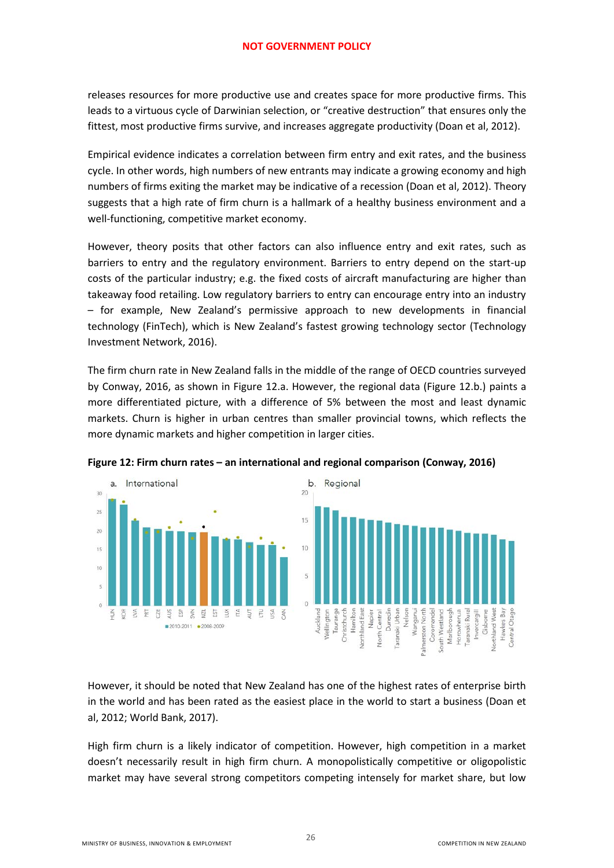releases resources for more productive use and creates space for more productive firms. This leads to a virtuous cycle of Darwinian selection, or "creative destruction" that ensures only the fittest, most productive firms survive, and increases aggregate productivity (Doan et al, 2012).

Empirical evidence indicates a correlation between firm entry and exit rates, and the business cycle. In other words, high numbers of new entrants may indicate a growing economy and high numbers of firms exiting the market may be indicative of a recession (Doan et al, 2012). Theory suggests that a high rate of firm churn is a hallmark of a healthy business environment and a well-functioning, competitive market economy.

However, theory posits that other factors can also influence entry and exit rates, such as barriers to entry and the regulatory environment. Barriers to entry depend on the start-up costs of the particular industry; e.g. the fixed costs of aircraft manufacturing are higher than takeaway food retailing. Low regulatory barriers to entry can encourage entry into an industry – for example, New Zealand's permissive approach to new developments in financial technology (FinTech), which is New Zealand's fastest growing technology sector (Technology Investment Network, 2016).

The firm churn rate in New Zealand falls in the middle of the range of OECD countries surveyed by Conway, 2016, as shown in Figure 12.a. However, the regional data (Figure 12.b.) paints a more differentiated picture, with a difference of 5% between the most and least dynamic markets. Churn is higher in urban centres than smaller provincial towns, which reflects the more dynamic markets and higher competition in larger cities.



<span id="page-25-0"></span>**Figure 12: Firm churn rates – an international and regional comparison (Conway, 2016)**

However, it should be noted that New Zealand has one of the highest rates of enterprise birth in the world and has been rated as the easiest place in the world to start a business (Doan et al, 2012; World Bank, 2017).

High firm churn is a likely indicator of competition. However, high competition in a market doesn't necessarily result in high firm churn. A monopolistically competitive or oligopolistic market may have several strong competitors competing intensely for market share, but low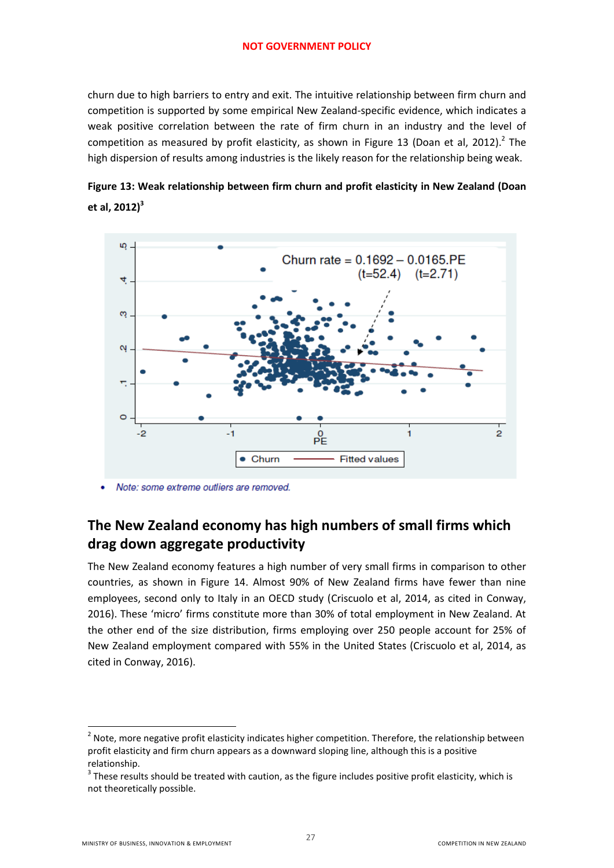churn due to high barriers to entry and exit. The intuitive relationship between firm churn and competition is supported by some empirical New Zealand-specific evidence, which indicates a weak positive correlation between the rate of firm churn in an industry and the level of competition as measured by profit elasticity, as shown in Figure 13 (Doan et al, 2012).<sup>2</sup> The high dispersion of results among industries is the likely reason for the relationship being weak.

<span id="page-26-1"></span>



Note: some extreme outliers are removed.

# <span id="page-26-0"></span>**The New Zealand economy has high numbers of small firms which drag down aggregate productivity**

The New Zealand economy features a high number of very small firms in comparison to other countries, as shown in Figure 14. Almost 90% of New Zealand firms have fewer than nine employees, second only to Italy in an OECD study (Criscuolo et al, 2014, as cited in Conway, 2016). These 'micro' firms constitute more than 30% of total employment in New Zealand. At the other end of the size distribution, firms employing over 250 people account for 25% of New Zealand employment compared with 55% in the United States (Criscuolo et al, 2014, as cited in Conway, 2016).

1

<sup>&</sup>lt;sup>2</sup> Note, more negative profit elasticity indicates higher competition. Therefore, the relationship between profit elasticity and firm churn appears as a downward sloping line, although this is a positive relationship.

 $3$  These results should be treated with caution, as the figure includes positive profit elasticity, which is not theoretically possible.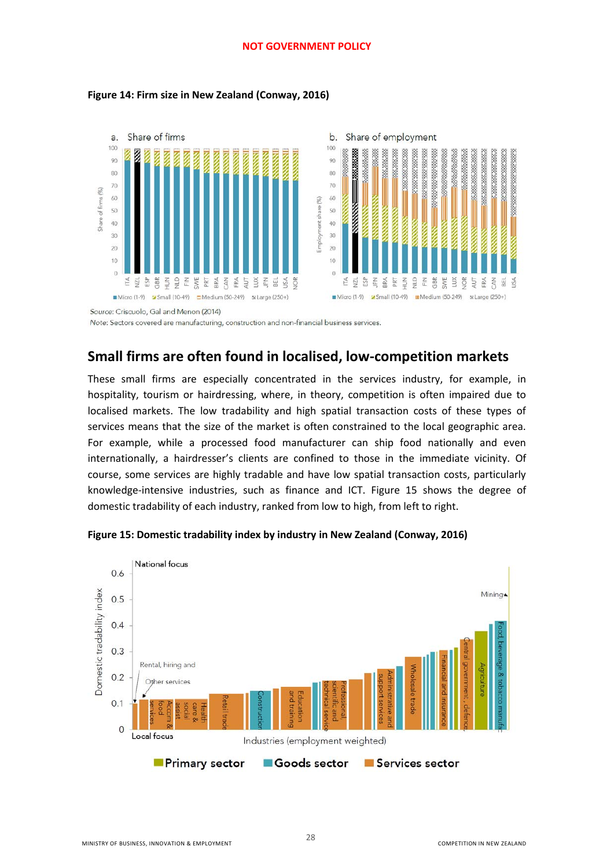#### <span id="page-27-1"></span>**Figure 14: Firm size in New Zealand (Conway, 2016)**





Source: Criscuolo, Gal and Menon (2014)

Note: Sectors covered are manufacturing, construction and non-financial business services.

### <span id="page-27-0"></span>**Small firms are often found in localised, low-competition markets**

These small firms are especially concentrated in the services industry, for example, in hospitality, tourism or hairdressing, where, in theory, competition is often impaired due to localised markets. The low tradability and high spatial transaction costs of these types of services means that the size of the market is often constrained to the local geographic area. For example, while a processed food manufacturer can ship food nationally and even internationally, a hairdresser's clients are confined to those in the immediate vicinity. Of course, some services are highly tradable and have low spatial transaction costs, particularly knowledge-intensive industries, such as finance and ICT. Figure 15 shows the degree of domestic tradability of each industry, ranked from low to high, from left to right.



28

<span id="page-27-2"></span>**Figure 15: Domestic tradability index by industry in New Zealand (Conway, 2016)**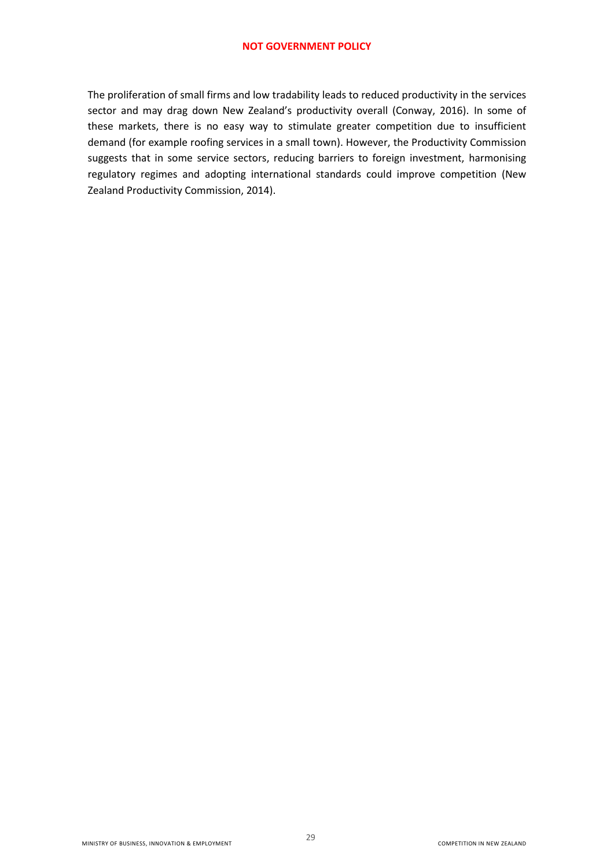The proliferation of small firms and low tradability leads to reduced productivity in the services sector and may drag down New Zealand's productivity overall (Conway, 2016). In some of these markets, there is no easy way to stimulate greater competition due to insufficient demand (for example roofing services in a small town). However, the Productivity Commission suggests that in some service sectors, reducing barriers to foreign investment, harmonising regulatory regimes and adopting international standards could improve competition (New Zealand Productivity Commission, 2014).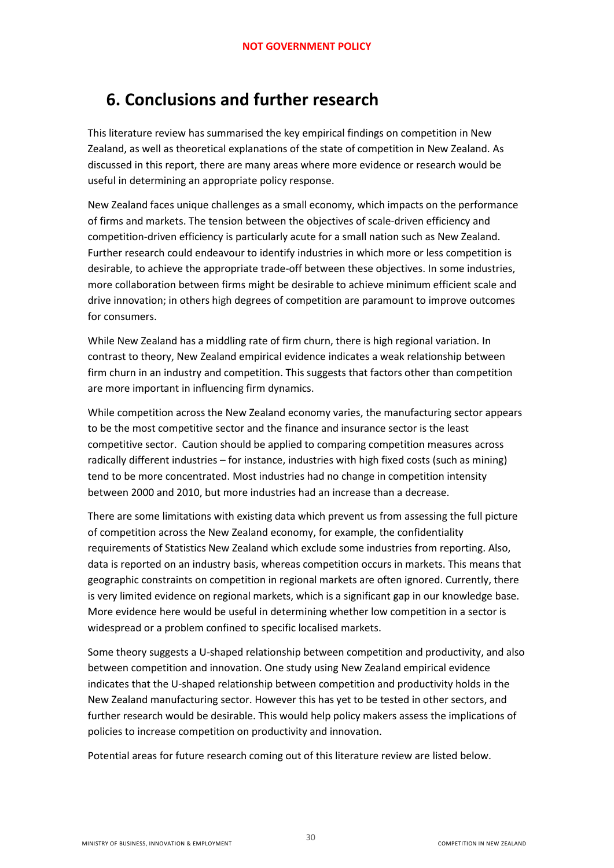# <span id="page-29-0"></span>**6. Conclusions and further research**

This literature review has summarised the key empirical findings on competition in New Zealand, as well as theoretical explanations of the state of competition in New Zealand. As discussed in this report, there are many areas where more evidence or research would be useful in determining an appropriate policy response.

New Zealand faces unique challenges as a small economy, which impacts on the performance of firms and markets. The tension between the objectives of scale-driven efficiency and competition-driven efficiency is particularly acute for a small nation such as New Zealand. Further research could endeavour to identify industries in which more or less competition is desirable, to achieve the appropriate trade-off between these objectives. In some industries, more collaboration between firms might be desirable to achieve minimum efficient scale and drive innovation; in others high degrees of competition are paramount to improve outcomes for consumers.

While New Zealand has a middling rate of firm churn, there is high regional variation. In contrast to theory, New Zealand empirical evidence indicates a weak relationship between firm churn in an industry and competition. This suggests that factors other than competition are more important in influencing firm dynamics.

While competition across the New Zealand economy varies, the manufacturing sector appears to be the most competitive sector and the finance and insurance sector is the least competitive sector. Caution should be applied to comparing competition measures across radically different industries – for instance, industries with high fixed costs (such as mining) tend to be more concentrated. Most industries had no change in competition intensity between 2000 and 2010, but more industries had an increase than a decrease.

There are some limitations with existing data which prevent us from assessing the full picture of competition across the New Zealand economy, for example, the confidentiality requirements of Statistics New Zealand which exclude some industries from reporting. Also, data is reported on an industry basis, whereas competition occurs in markets. This means that geographic constraints on competition in regional markets are often ignored. Currently, there is very limited evidence on regional markets, which is a significant gap in our knowledge base. More evidence here would be useful in determining whether low competition in a sector is widespread or a problem confined to specific localised markets.

Some theory suggests a U-shaped relationship between competition and productivity, and also between competition and innovation. One study using New Zealand empirical evidence indicates that the U-shaped relationship between competition and productivity holds in the New Zealand manufacturing sector. However this has yet to be tested in other sectors, and further research would be desirable. This would help policy makers assess the implications of policies to increase competition on productivity and innovation.

Potential areas for future research coming out of this literature review are listed below.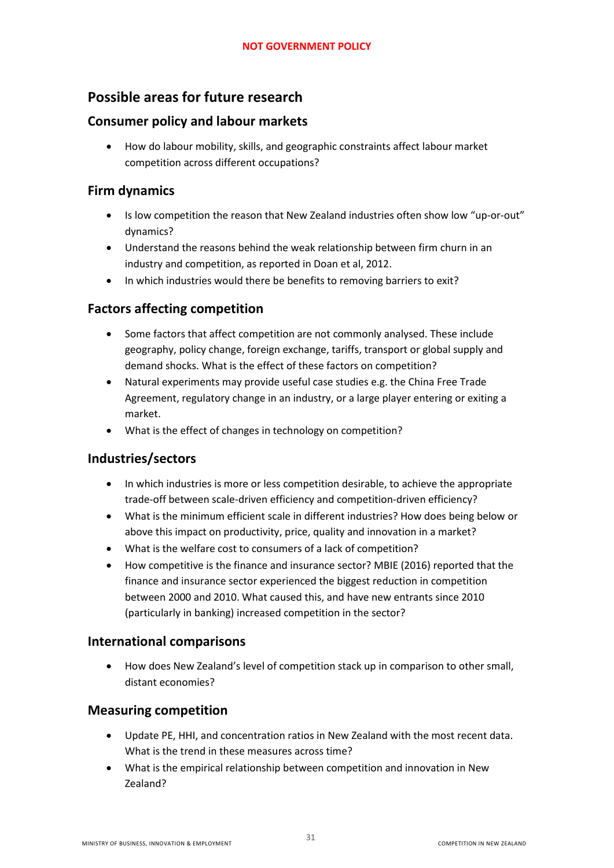### <span id="page-30-0"></span>**Possible areas for future research**

### <span id="page-30-1"></span>**Consumer policy and labour markets**

 How do labour mobility, skills, and geographic constraints affect labour market competition across different occupations?

### <span id="page-30-2"></span>**Firm dynamics**

- Is low competition the reason that New Zealand industries often show low "up-or-out" dynamics?
- Understand the reasons behind the weak relationship between firm churn in an industry and competition, as reported in Doan et al, 2012.
- In which industries would there be benefits to removing barriers to exit?

### <span id="page-30-3"></span>**Factors affecting competition**

- Some factors that affect competition are not commonly analysed. These include geography, policy change, foreign exchange, tariffs, transport or global supply and demand shocks. What is the effect of these factors on competition?
- Natural experiments may provide useful case studies e.g. the China Free Trade Agreement, regulatory change in an industry, or a large player entering or exiting a market.
- What is the effect of changes in technology on competition?

### <span id="page-30-4"></span>**Industries/sectors**

- In which industries is more or less competition desirable, to achieve the appropriate trade-off between scale-driven efficiency and competition-driven efficiency?
- What is the minimum efficient scale in different industries? How does being below or above this impact on productivity, price, quality and innovation in a market?
- What is the welfare cost to consumers of a lack of competition?
- How competitive is the finance and insurance sector? MBIE (2016) reported that the finance and insurance sector experienced the biggest reduction in competition between 2000 and 2010. What caused this, and have new entrants since 2010 (particularly in banking) increased competition in the sector?

#### <span id="page-30-5"></span>**International comparisons**

 How does New Zealand's level of competition stack up in comparison to other small, distant economies?

#### <span id="page-30-6"></span>**Measuring competition**

- Update PE, HHI, and concentration ratios in New Zealand with the most recent data. What is the trend in these measures across time?
- What is the empirical relationship between competition and innovation in New Zealand?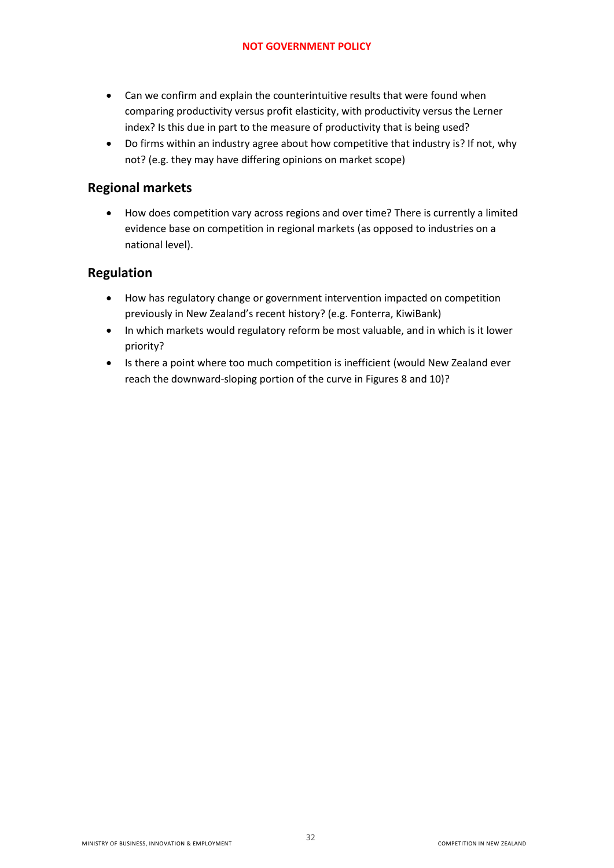- Can we confirm and explain the counterintuitive results that were found when comparing productivity versus profit elasticity, with productivity versus the Lerner index? Is this due in part to the measure of productivity that is being used?
- Do firms within an industry agree about how competitive that industry is? If not, why not? (e.g. they may have differing opinions on market scope)

### <span id="page-31-0"></span>**Regional markets**

 How does competition vary across regions and over time? There is currently a limited evidence base on competition in regional markets (as opposed to industries on a national level).

#### <span id="page-31-1"></span>**Regulation**

- How has regulatory change or government intervention impacted on competition previously in New Zealand's recent history? (e.g. Fonterra, KiwiBank)
- In which markets would regulatory reform be most valuable, and in which is it lower priority?
- Is there a point where too much competition is inefficient (would New Zealand ever reach the downward-sloping portion of the curve in Figures 8 and 10)?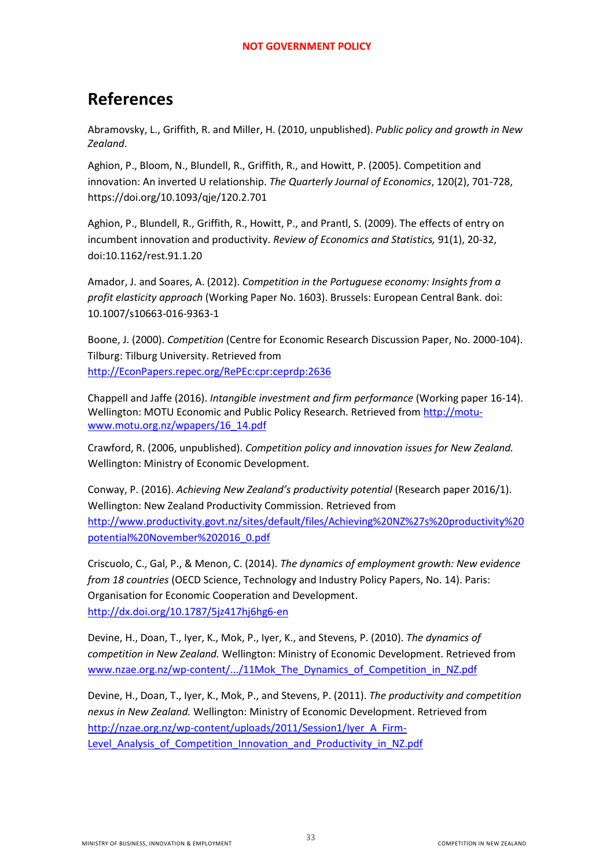# <span id="page-32-0"></span>**References**

Abramovsky, L., Griffith, R. and Miller, H. (2010, unpublished). *Public policy and growth in New Zealand*.

Aghion, P., Bloom, N., Blundell, R., Griffith, R., and Howitt, P. (2005). Competition and innovation: An inverted U relationship. *The Quarterly Journal of Economics*, 120(2), 701-728, https://doi.org/10.1093/qje/120.2.701

Aghion, P., Blundell, R., Griffith, R., Howitt, P., and Prantl, S. (2009). The effects of entry on incumbent innovation and productivity. *Review of Economics and Statistics,* 91(1), 20-32, doi:10.1162/rest.91.1.20

Amador, J. and Soares, A. (2012). *Competition in the Portuguese economy: Insights from a profit elasticity approach* (Working Paper No. 1603). Brussels: European Central Bank. doi: 10.1007/s10663-016-9363-1

Boone, J. (2000). *Competition* (Centre for Economic Research Discussion Paper, No. 2000-104). Tilburg: Tilburg University. Retrieved from [http://EconPapers.repec.org/RePEc:cpr:ceprdp:2636](http://econpapers.repec.org/RePEc:cpr:ceprdp:2636) 

Chappell and Jaffe (2016). *Intangible investment and firm performance* (Working paper 16-14). Wellington: MOTU Economic and Public Policy Research. Retrieved from [http://motu](http://motu-www.motu.org.nz/wpapers/16_14.pdf)[www.motu.org.nz/wpapers/16\\_14.pdf](http://motu-www.motu.org.nz/wpapers/16_14.pdf) 

Crawford, R. (2006, unpublished). *Competition policy and innovation issues for New Zealand.*  Wellington: Ministry of Economic Development.

Conway, P. (2016). *Achieving New Zealand's productivity potential* (Research paper 2016/1). Wellington: New Zealand Productivity Commission. Retrieved from [http://www.productivity.govt.nz/sites/default/files/Achieving%20NZ%27s%20productivity%20](http://www.productivity.govt.nz/sites/default/files/Achieving%20NZ%27s%20productivity%20potential%20November%202016_0.pdf) [potential%20November%202016\\_0.pdf](http://www.productivity.govt.nz/sites/default/files/Achieving%20NZ%27s%20productivity%20potential%20November%202016_0.pdf) 

Criscuolo, C., Gal, P., & Menon, C. (2014). *The dynamics of employment growth: New evidence from 18 countries* (OECD Science, Technology and Industry Policy Papers, No. 14). Paris: Organisation for Economic Cooperation and Development. <http://dx.doi.org/10.1787/5jz417hj6hg6-en>

Devine, H., Doan, T., Iyer, K., Mok, P., Iyer, K., and Stevens, P. (2010). *The dynamics of competition in New Zealand.* Wellington: Ministry of Economic Development. Retrieved from www.nzae.org.nz/wp-content/.../11Mok The Dynamics of Competition in NZ.pdf

Devine, H., Doan, T., Iyer, K., Mok, P., and Stevens, P. (2011). *The productivity and competition nexus in New Zealand.* Wellington: Ministry of Economic Development. Retrieved from [http://nzae.org.nz/wp-content/uploads/2011/Session1/Iyer\\_A\\_Firm-](http://nzae.org.nz/wp-content/uploads/2011/Session1/Iyer_A_Firm-Level_Analysis_of_Competition_Innovation_and_Productivity_in_NZ.pdf)Level Analysis of Competition Innovation and Productivity in NZ.pdf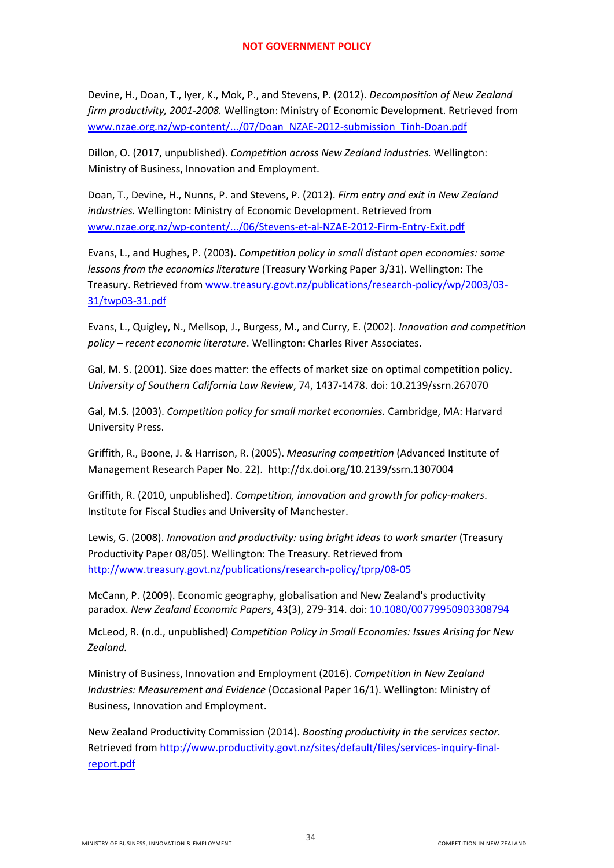Devine, H., Doan, T., Iyer, K., Mok, P., and Stevens, P. (2012). *Decomposition of New Zealand firm productivity, 2001-2008.* Wellington: Ministry of Economic Development. Retrieved from [www.nzae.org.nz/wp-content/.../07/Doan\\_NZAE-2012-submission\\_Tinh-Doan.pdf](http://www.nzae.org.nz/wp-content/.../07/Doan_NZAE-2012-submission_Tinh-Doan.pdf) 

Dillon, O. (2017, unpublished). *Competition across New Zealand industries.* Wellington: Ministry of Business, Innovation and Employment.

Doan, T., Devine, H., Nunns, P. and Stevens, P. (2012). *Firm entry and exit in New Zealand industries.* Wellington: Ministry of Economic Development. Retrieved from [www.nzae.org.nz/wp-content/.../06/Stevens-et-al-NZAE-2012-Firm-Entry-Exit.pdf](http://www.nzae.org.nz/wp-content/.../06/Stevens-et-al-NZAE-2012-Firm-Entry-Exit.pdf) 

Evans, L., and Hughes, P. (2003). *Competition policy in small distant open economies: some lessons from the economics literature* (Treasury Working Paper 3/31). Wellington: The Treasury. Retrieved from [www.treasury.govt.nz/publications/research-policy/wp/2003/03-](http://www.treasury.govt.nz/publications/research-policy/wp/2003/03-31/twp03-31.pdf) [31/twp03-31.pdf](http://www.treasury.govt.nz/publications/research-policy/wp/2003/03-31/twp03-31.pdf) 

Evans, L., Quigley, N., Mellsop, J., Burgess, M., and Curry, E. (2002). *Innovation and competition policy – recent economic literature*. Wellington: Charles River Associates.

Gal, M. S. (2001). Size does matter: the effects of market size on optimal competition policy. *University of Southern California Law Review*, 74, 1437-1478. doi: 10.2139/ssrn.267070

Gal, M.S. (2003). *Competition policy for small market economies.* Cambridge, MA: Harvard University Press.

Griffith, R., Boone, J. & Harrison, R. (2005). *Measuring competition* (Advanced Institute of Management Research Paper No. 22). http://dx.doi.org/10.2139/ssrn.1307004

Griffith, R. (2010, unpublished). *Competition, innovation and growth for policy-makers*. Institute for Fiscal Studies and University of Manchester.

Lewis, G. (2008). *Innovation and productivity: using bright ideas to work smarter* (Treasury Productivity Paper 08/05). Wellington: The Treasury. Retrieved from <http://www.treasury.govt.nz/publications/research-policy/tprp/08-05>

McCann, P. (2009). Economic geography, globalisation and New Zealand's productivity paradox. *New Zealand Economic Papers*, 43(3), 279-314. doi[: 10.1080/00779950903308794](http://dx.doi.org/10.1080/00779950903308794) 

McLeod, R. (n.d., unpublished) *Competition Policy in Small Economies: Issues Arising for New Zealand.*

Ministry of Business, Innovation and Employment (2016). *Competition in New Zealand Industries: Measurement and Evidence* (Occasional Paper 16/1). Wellington: Ministry of Business, Innovation and Employment.

New Zealand Productivity Commission (2014). *Boosting productivity in the services sector.*  Retrieved from [http://www.productivity.govt.nz/sites/default/files/services-inquiry-final](http://www.productivity.govt.nz/sites/default/files/services-inquiry-final-report.pdf)[report.pdf](http://www.productivity.govt.nz/sites/default/files/services-inquiry-final-report.pdf)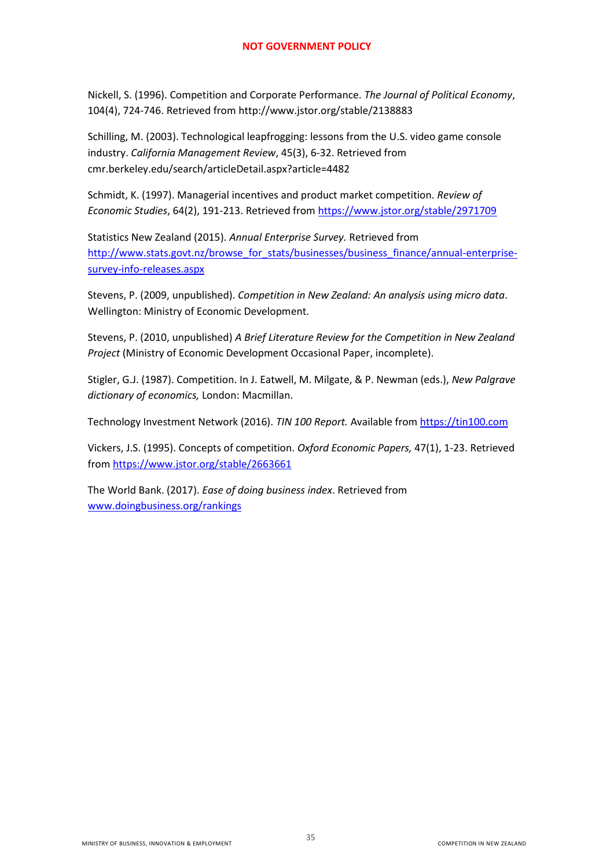Nickell, S. (1996). Competition and Corporate Performance. *The Journal of Political Economy*, 104(4), 724-746. Retrieved from<http://www.jstor.org/stable/2138883>

Schilling, M. (2003). Technological leapfrogging: lessons from the U.S. video game console industry. *California Management Review*, 45(3), 6-32. Retrieved from cmr.berkeley.edu/search/articleDetail.aspx?article=4482

Schmidt, K. (1997). Managerial incentives and product market competition. *Review of Economic Studies*, 64(2), 191-213. Retrieved from<https://www.jstor.org/stable/2971709>

Statistics New Zealand (2015). *Annual Enterprise Survey.* Retrieved from [http://www.stats.govt.nz/browse\\_for\\_stats/businesses/business\\_finance/annual-enterprise](http://www.stats.govt.nz/browse_for_stats/businesses/business_finance/annual-enterprise-survey-info-releases.aspx)[survey-info-releases.aspx](http://www.stats.govt.nz/browse_for_stats/businesses/business_finance/annual-enterprise-survey-info-releases.aspx) 

Stevens, P. (2009, unpublished). *Competition in New Zealand: An analysis using micro data*. Wellington: Ministry of Economic Development.

Stevens, P. (2010, unpublished) *A Brief Literature Review for the Competition in New Zealand Project* (Ministry of Economic Development Occasional Paper, incomplete).

Stigler, G.J. (1987). Competition. In J. Eatwell, M. Milgate, & P. Newman (eds.), *New Palgrave dictionary of economics,* London: Macmillan.

Technology Investment Network (2016). *TIN 100 Report.* Available from [https://tin100.com](https://tin100.com/) 

Vickers, J.S. (1995). Concepts of competition. *Oxford Economic Papers,* 47(1), 1-23. Retrieved from<https://www.jstor.org/stable/2663661>

The World Bank. (2017). *Ease of doing business index*. Retrieved from [www.doingbusiness.org/rankings](http://www.doingbusiness.org/rankings)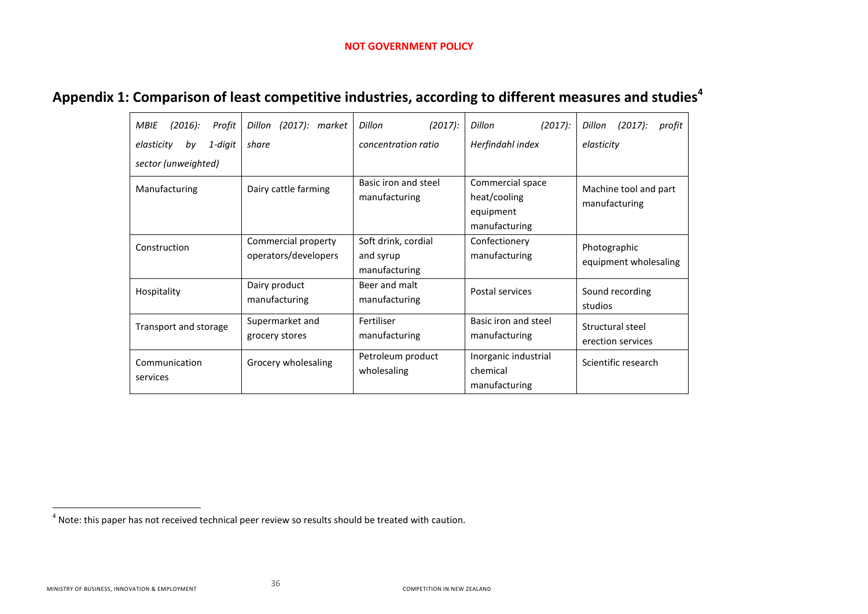# **Appendix 1: Comparison of least competitive industries, according to different measures and studies<sup>4</sup>**

| $(2016)$ :<br>MBIE<br>Profit | Dillon (2017): market                       | $(2017)$ :<br>Dillon                              | $(2017)$ :<br>Dillon                                           | Dillon<br>$(2017)$ :<br>profit         |
|------------------------------|---------------------------------------------|---------------------------------------------------|----------------------------------------------------------------|----------------------------------------|
| 1-digit<br>elasticity<br>by  | share                                       | concentration ratio                               | Herfindahl index                                               | elasticity                             |
| sector (unweighted)          |                                             |                                                   |                                                                |                                        |
| Manufacturing                | Dairy cattle farming                        | Basic iron and steel<br>manufacturing             | Commercial space<br>heat/cooling<br>equipment<br>manufacturing | Machine tool and part<br>manufacturing |
| Construction                 | Commercial property<br>operators/developers | Soft drink, cordial<br>and syrup<br>manufacturing | Confectionery<br>manufacturing                                 | Photographic<br>equipment wholesaling  |
| Hospitality                  | Dairy product<br>manufacturing              | Beer and malt<br>manufacturing                    | Postal services                                                | Sound recording<br>studios             |
| Transport and storage        | Supermarket and<br>grocery stores           | Fertiliser<br>manufacturing                       | Basic iron and steel<br>manufacturing                          | Structural steel<br>erection services  |
| Communication<br>services    | Grocery wholesaling                         | Petroleum product<br>wholesaling                  | Inorganic industrial<br>chemical<br>manufacturing              | Scientific research                    |

<span id="page-35-0"></span> 4 Note: this paper has not received technical peer review so results should be treated with caution.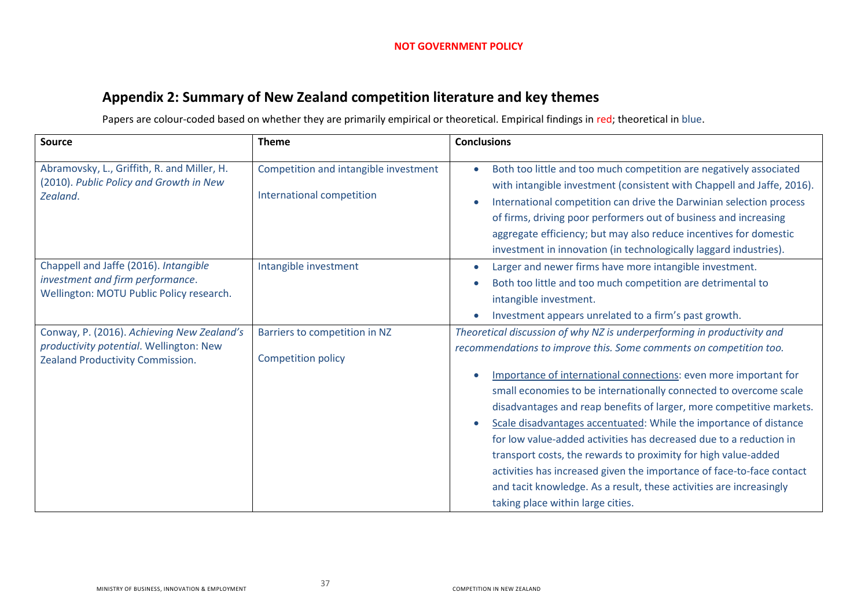# **Appendix 2: Summary of New Zealand competition literature and key themes**

Papers are colour-coded based on whether they are primarily empirical or theoretical. Empirical findings in red; theoretical in blue.

<span id="page-36-0"></span>

| <b>Source</b>                                                                                                             | <b>Theme</b>                                                       | <b>Conclusions</b>                                                                                                                                                                                                                                                                                                                                                                                                                                                                                                                                                                                                                                                                                                                                               |
|---------------------------------------------------------------------------------------------------------------------------|--------------------------------------------------------------------|------------------------------------------------------------------------------------------------------------------------------------------------------------------------------------------------------------------------------------------------------------------------------------------------------------------------------------------------------------------------------------------------------------------------------------------------------------------------------------------------------------------------------------------------------------------------------------------------------------------------------------------------------------------------------------------------------------------------------------------------------------------|
| Abramovsky, L., Griffith, R. and Miller, H.<br>(2010). Public Policy and Growth in New<br>Zealand.                        | Competition and intangible investment<br>International competition | Both too little and too much competition are negatively associated<br>with intangible investment (consistent with Chappell and Jaffe, 2016).<br>International competition can drive the Darwinian selection process<br>of firms, driving poor performers out of business and increasing<br>aggregate efficiency; but may also reduce incentives for domestic<br>investment in innovation (in technologically laggard industries).                                                                                                                                                                                                                                                                                                                                |
| Chappell and Jaffe (2016). Intangible<br>investment and firm performance.<br>Wellington: MOTU Public Policy research.     | Intangible investment                                              | Larger and newer firms have more intangible investment.<br>Both too little and too much competition are detrimental to<br>intangible investment.<br>Investment appears unrelated to a firm's past growth.                                                                                                                                                                                                                                                                                                                                                                                                                                                                                                                                                        |
| Conway, P. (2016). Achieving New Zealand's<br>productivity potential. Wellington: New<br>Zealand Productivity Commission. | Barriers to competition in NZ<br><b>Competition policy</b>         | Theoretical discussion of why NZ is underperforming in productivity and<br>recommendations to improve this. Some comments on competition too.<br>Importance of international connections: even more important for<br>small economies to be internationally connected to overcome scale<br>disadvantages and reap benefits of larger, more competitive markets.<br>Scale disadvantages accentuated: While the importance of distance<br>for low value-added activities has decreased due to a reduction in<br>transport costs, the rewards to proximity for high value-added<br>activities has increased given the importance of face-to-face contact<br>and tacit knowledge. As a result, these activities are increasingly<br>taking place within large cities. |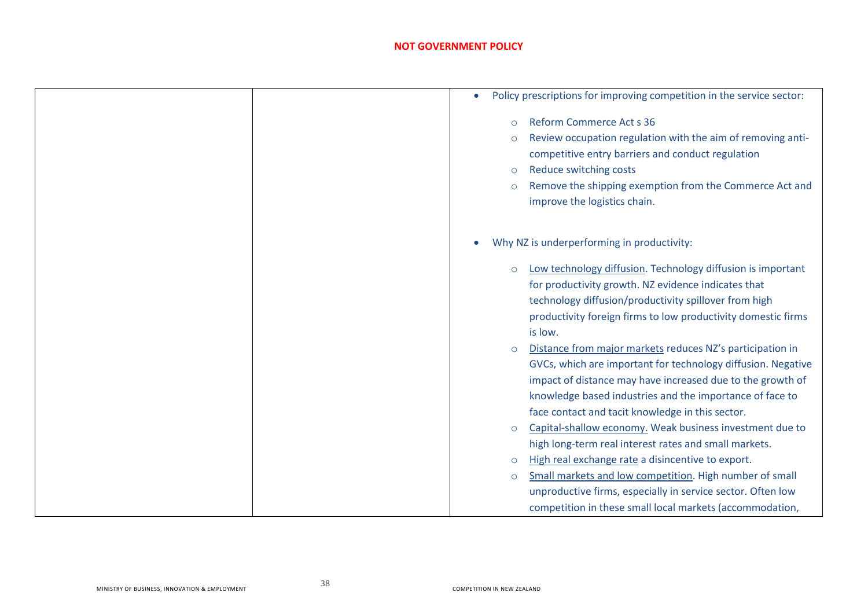| Policy prescriptions for improving competition in the service sector:<br>$\bullet$                                                                                                                                                                                                                                   |
|----------------------------------------------------------------------------------------------------------------------------------------------------------------------------------------------------------------------------------------------------------------------------------------------------------------------|
| <b>Reform Commerce Act s 36</b><br>$\circ$<br>Review occupation regulation with the aim of removing anti-<br>$\circ$<br>competitive entry barriers and conduct regulation<br>Reduce switching costs<br>$\circ$<br>Remove the shipping exemption from the Commerce Act and<br>$\circ$<br>improve the logistics chain. |
| Why NZ is underperforming in productivity:                                                                                                                                                                                                                                                                           |
| Low technology diffusion. Technology diffusion is important<br>$\circ$<br>for productivity growth. NZ evidence indicates that<br>technology diffusion/productivity spillover from high<br>productivity foreign firms to low productivity domestic firms<br>is low.                                                   |
| Distance from major markets reduces NZ's participation in<br>$\circ$<br>GVCs, which are important for technology diffusion. Negative<br>impact of distance may have increased due to the growth of<br>knowledge based industries and the importance of face to<br>face contact and tacit knowledge in this sector.   |
| Capital-shallow economy. Weak business investment due to<br>$\circ$                                                                                                                                                                                                                                                  |
| high long-term real interest rates and small markets.                                                                                                                                                                                                                                                                |
| High real exchange rate a disincentive to export.<br>$\circ$                                                                                                                                                                                                                                                         |
| Small markets and low competition. High number of small<br>$\circ$<br>unproductive firms, especially in service sector. Often low<br>competition in these small local markets (accommodation,                                                                                                                        |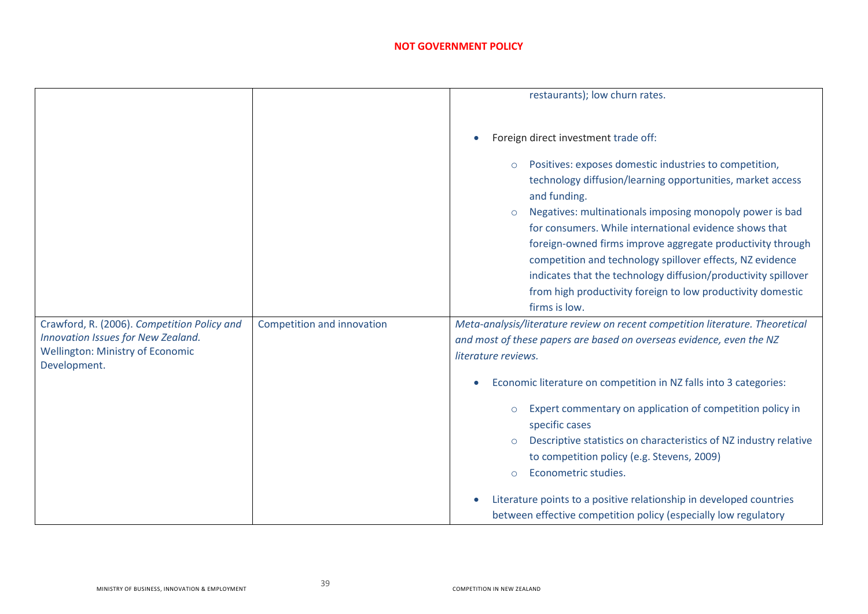|                                                                                                                              |                            | restaurants); low churn rates.                                                                                                                                                                                                                                                                                                                                                                                                                                                                                                                                |
|------------------------------------------------------------------------------------------------------------------------------|----------------------------|---------------------------------------------------------------------------------------------------------------------------------------------------------------------------------------------------------------------------------------------------------------------------------------------------------------------------------------------------------------------------------------------------------------------------------------------------------------------------------------------------------------------------------------------------------------|
|                                                                                                                              |                            |                                                                                                                                                                                                                                                                                                                                                                                                                                                                                                                                                               |
|                                                                                                                              |                            | Foreign direct investment trade off:                                                                                                                                                                                                                                                                                                                                                                                                                                                                                                                          |
|                                                                                                                              |                            | Positives: exposes domestic industries to competition,<br>$\circ$<br>technology diffusion/learning opportunities, market access<br>and funding.<br>Negatives: multinationals imposing monopoly power is bad<br>$\circ$<br>for consumers. While international evidence shows that<br>foreign-owned firms improve aggregate productivity through<br>competition and technology spillover effects, NZ evidence<br>indicates that the technology diffusion/productivity spillover<br>from high productivity foreign to low productivity domestic<br>firms is low. |
| Crawford, R. (2006). Competition Policy and<br>Innovation Issues for New Zealand.<br><b>Wellington: Ministry of Economic</b> | Competition and innovation | Meta-analysis/literature review on recent competition literature. Theoretical<br>and most of these papers are based on overseas evidence, even the NZ<br>literature reviews.                                                                                                                                                                                                                                                                                                                                                                                  |
| Development.                                                                                                                 |                            | Economic literature on competition in NZ falls into 3 categories:                                                                                                                                                                                                                                                                                                                                                                                                                                                                                             |
|                                                                                                                              |                            | Expert commentary on application of competition policy in<br>$\circ$<br>specific cases<br>Descriptive statistics on characteristics of NZ industry relative<br>to competition policy (e.g. Stevens, 2009)<br>Econometric studies.<br>$\Omega$                                                                                                                                                                                                                                                                                                                 |
|                                                                                                                              |                            | Literature points to a positive relationship in developed countries<br>between effective competition policy (especially low regulatory                                                                                                                                                                                                                                                                                                                                                                                                                        |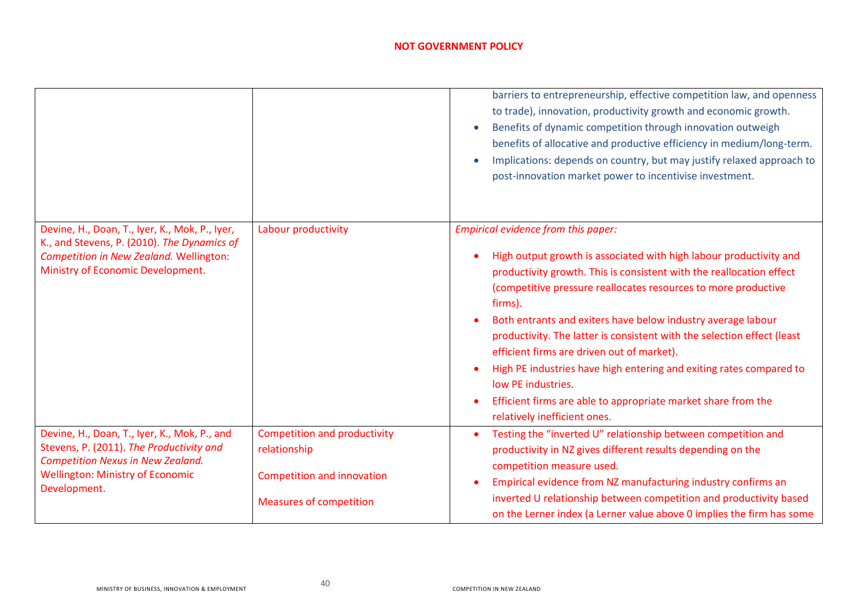|                                                                                                                                                                                                 |                                                                                                                            | barriers to entrepreneurship, effective competition law, and openness<br>to trade), innovation, productivity growth and economic growth.<br>Benefits of dynamic competition through innovation outweigh<br>benefits of allocative and productive efficiency in medium/long-term.<br>Implications: depends on country, but may justify relaxed approach to<br>post-innovation market power to incentivise investment.                                                                                                                                                                                                                                  |
|-------------------------------------------------------------------------------------------------------------------------------------------------------------------------------------------------|----------------------------------------------------------------------------------------------------------------------------|-------------------------------------------------------------------------------------------------------------------------------------------------------------------------------------------------------------------------------------------------------------------------------------------------------------------------------------------------------------------------------------------------------------------------------------------------------------------------------------------------------------------------------------------------------------------------------------------------------------------------------------------------------|
| Devine, H., Doan, T., Iyer, K., Mok, P., Iyer,<br>K., and Stevens, P. (2010). The Dynamics of<br>Competition in New Zealand. Wellington:<br>Ministry of Economic Development.                   | Labour productivity                                                                                                        | Empirical evidence from this paper:<br>High output growth is associated with high labour productivity and<br>productivity growth. This is consistent with the reallocation effect<br>(competitive pressure reallocates resources to more productive<br>firms).<br>Both entrants and exiters have below industry average labour<br>productivity. The latter is consistent with the selection effect (least<br>efficient firms are driven out of market).<br>High PE industries have high entering and exiting rates compared to<br>low PE industries.<br>Efficient firms are able to appropriate market share from the<br>relatively inefficient ones. |
| Devine, H., Doan, T., Iyer, K., Mok, P., and<br>Stevens, P. (2011). The Productivity and<br><b>Competition Nexus in New Zealand.</b><br><b>Wellington: Ministry of Economic</b><br>Development. | <b>Competition and productivity</b><br>relationship<br><b>Competition and innovation</b><br><b>Measures of competition</b> | Testing the "inverted U" relationship between competition and<br>productivity in NZ gives different results depending on the<br>competition measure used.<br>Empirical evidence from NZ manufacturing industry confirms an<br>inverted U relationship between competition and productivity based<br>on the Lerner index (a Lerner value above 0 implies the firm has some                                                                                                                                                                                                                                                                             |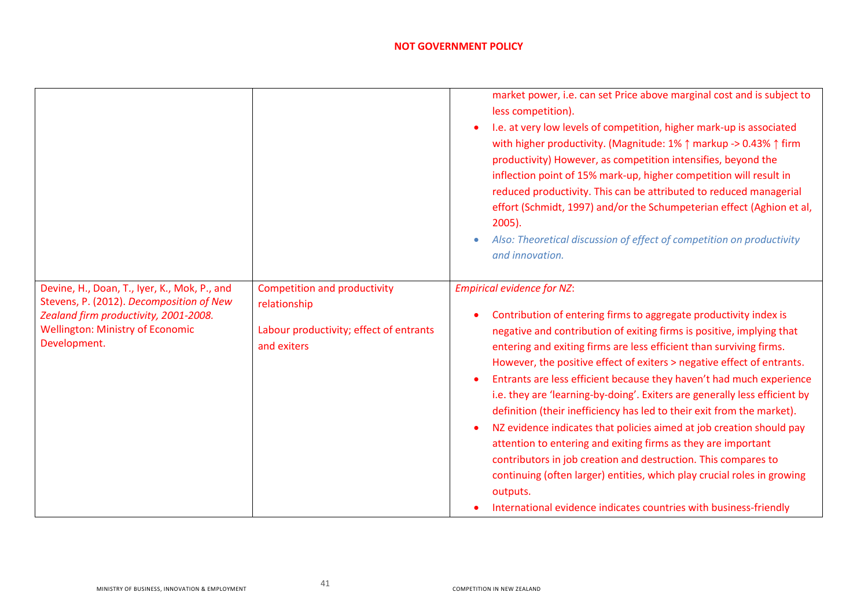|                                                                                                                                                                                              |                                                                                                               | market power, i.e. can set Price above marginal cost and is subject to<br>less competition).<br>I.e. at very low levels of competition, higher mark-up is associated<br>with higher productivity. (Magnitude: 1% ↑ markup -> 0.43% ↑ firm<br>productivity) However, as competition intensifies, beyond the<br>inflection point of 15% mark-up, higher competition will result in<br>reduced productivity. This can be attributed to reduced managerial                                                                                                                                                                                                                                                                                                                                                                                                                                                                                  |
|----------------------------------------------------------------------------------------------------------------------------------------------------------------------------------------------|---------------------------------------------------------------------------------------------------------------|-----------------------------------------------------------------------------------------------------------------------------------------------------------------------------------------------------------------------------------------------------------------------------------------------------------------------------------------------------------------------------------------------------------------------------------------------------------------------------------------------------------------------------------------------------------------------------------------------------------------------------------------------------------------------------------------------------------------------------------------------------------------------------------------------------------------------------------------------------------------------------------------------------------------------------------------|
|                                                                                                                                                                                              |                                                                                                               | effort (Schmidt, 1997) and/or the Schumpeterian effect (Aghion et al,<br>$2005$ ).                                                                                                                                                                                                                                                                                                                                                                                                                                                                                                                                                                                                                                                                                                                                                                                                                                                      |
|                                                                                                                                                                                              |                                                                                                               | Also: Theoretical discussion of effect of competition on productivity<br>and innovation.                                                                                                                                                                                                                                                                                                                                                                                                                                                                                                                                                                                                                                                                                                                                                                                                                                                |
| Devine, H., Doan, T., Iyer, K., Mok, P., and<br>Stevens, P. (2012). Decomposition of New<br>Zealand firm productivity, 2001-2008.<br><b>Wellington: Ministry of Economic</b><br>Development. | <b>Competition and productivity</b><br>relationship<br>Labour productivity; effect of entrants<br>and exiters | <b>Empirical evidence for NZ:</b><br>Contribution of entering firms to aggregate productivity index is<br>negative and contribution of exiting firms is positive, implying that<br>entering and exiting firms are less efficient than surviving firms.<br>However, the positive effect of exiters > negative effect of entrants.<br>Entrants are less efficient because they haven't had much experience<br>i.e. they are 'learning-by-doing'. Exiters are generally less efficient by<br>definition (their inefficiency has led to their exit from the market).<br>NZ evidence indicates that policies aimed at job creation should pay<br>attention to entering and exiting firms as they are important<br>contributors in job creation and destruction. This compares to<br>continuing (often larger) entities, which play crucial roles in growing<br>outputs.<br>International evidence indicates countries with business-friendly |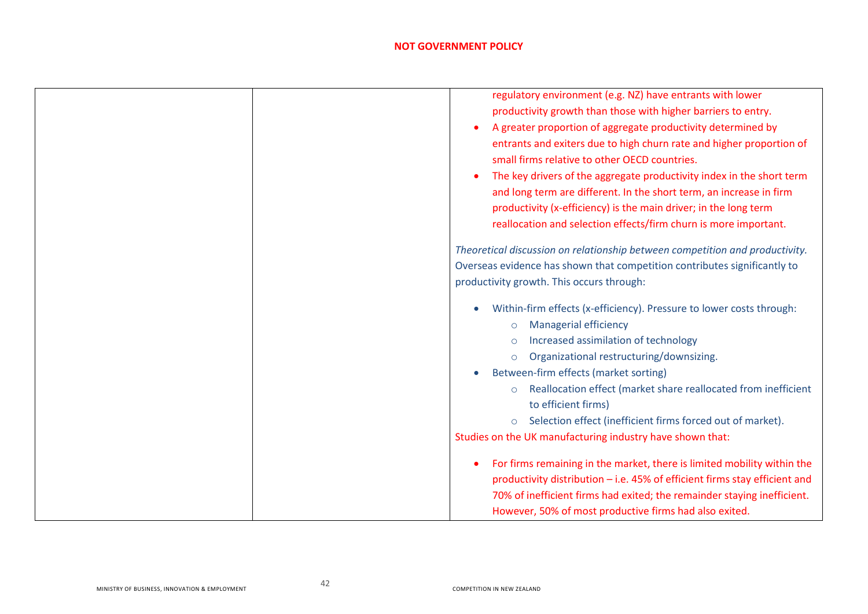| regulatory environment (e.g. NZ) have entrants with lower                    |
|------------------------------------------------------------------------------|
| productivity growth than those with higher barriers to entry.                |
| A greater proportion of aggregate productivity determined by                 |
| entrants and exiters due to high churn rate and higher proportion of         |
| small firms relative to other OECD countries.                                |
| The key drivers of the aggregate productivity index in the short term        |
| and long term are different. In the short term, an increase in firm          |
| productivity (x-efficiency) is the main driver; in the long term             |
| reallocation and selection effects/firm churn is more important.             |
| Theoretical discussion on relationship between competition and productivity. |
| Overseas evidence has shown that competition contributes significantly to    |
| productivity growth. This occurs through:                                    |
| Within-firm effects (x-efficiency). Pressure to lower costs through:         |
| <b>Managerial efficiency</b><br>$\circ$                                      |
| Increased assimilation of technology                                         |
| Organizational restructuring/downsizing.                                     |
| Between-firm effects (market sorting)                                        |
| Reallocation effect (market share reallocated from inefficient<br>$\circ$    |
| to efficient firms)                                                          |
| Selection effect (inefficient firms forced out of market).<br>$\circ$        |
| Studies on the UK manufacturing industry have shown that:                    |
| For firms remaining in the market, there is limited mobility within the      |
| productivity distribution - i.e. 45% of efficient firms stay efficient and   |
| 70% of inefficient firms had exited; the remainder staying inefficient.      |
| However, 50% of most productive firms had also exited.                       |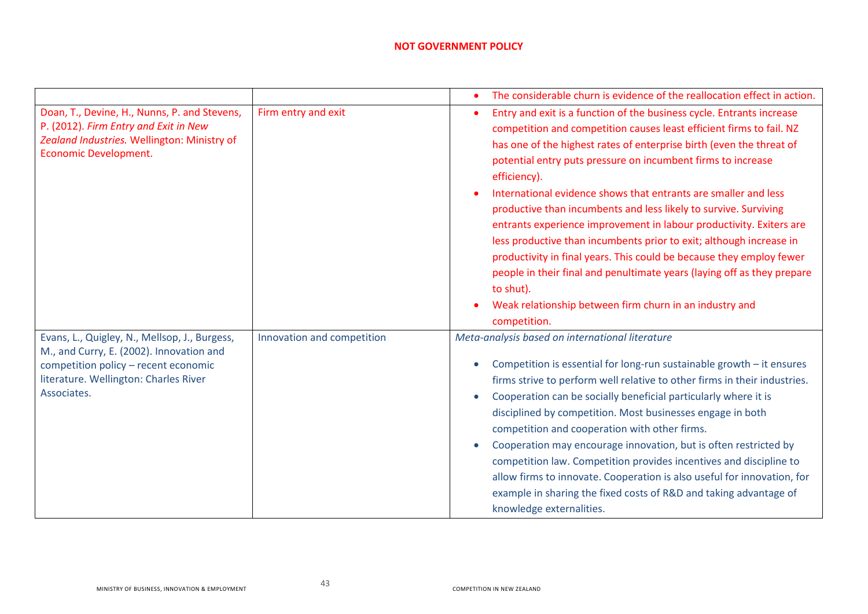|                                                                                                                                                                                           |                            | The considerable churn is evidence of the reallocation effect in action.                                                                                                                                                                                                                                                                                                                                                                                                                                                                                                                                                                                                                                                                                                                                                              |
|-------------------------------------------------------------------------------------------------------------------------------------------------------------------------------------------|----------------------------|---------------------------------------------------------------------------------------------------------------------------------------------------------------------------------------------------------------------------------------------------------------------------------------------------------------------------------------------------------------------------------------------------------------------------------------------------------------------------------------------------------------------------------------------------------------------------------------------------------------------------------------------------------------------------------------------------------------------------------------------------------------------------------------------------------------------------------------|
| Doan, T., Devine, H., Nunns, P. and Stevens,<br>P. (2012). Firm Entry and Exit in New<br>Zealand Industries. Wellington: Ministry of<br>Economic Development.                             | Firm entry and exit        | Entry and exit is a function of the business cycle. Entrants increase<br>competition and competition causes least efficient firms to fail. NZ<br>has one of the highest rates of enterprise birth (even the threat of<br>potential entry puts pressure on incumbent firms to increase<br>efficiency).<br>International evidence shows that entrants are smaller and less<br>productive than incumbents and less likely to survive. Surviving<br>entrants experience improvement in labour productivity. Exiters are<br>less productive than incumbents prior to exit; although increase in<br>productivity in final years. This could be because they employ fewer<br>people in their final and penultimate years (laying off as they prepare<br>to shut).<br>Weak relationship between firm churn in an industry and<br>competition. |
| Evans, L., Quigley, N., Mellsop, J., Burgess,<br>M., and Curry, E. (2002). Innovation and<br>competition policy - recent economic<br>literature. Wellington: Charles River<br>Associates. | Innovation and competition | Meta-analysis based on international literature<br>Competition is essential for long-run sustainable growth $-$ it ensures<br>firms strive to perform well relative to other firms in their industries.<br>Cooperation can be socially beneficial particularly where it is<br>disciplined by competition. Most businesses engage in both<br>competition and cooperation with other firms.<br>Cooperation may encourage innovation, but is often restricted by<br>competition law. Competition provides incentives and discipline to<br>allow firms to innovate. Cooperation is also useful for innovation, for<br>example in sharing the fixed costs of R&D and taking advantage of<br>knowledge externalities.                                                                                                                       |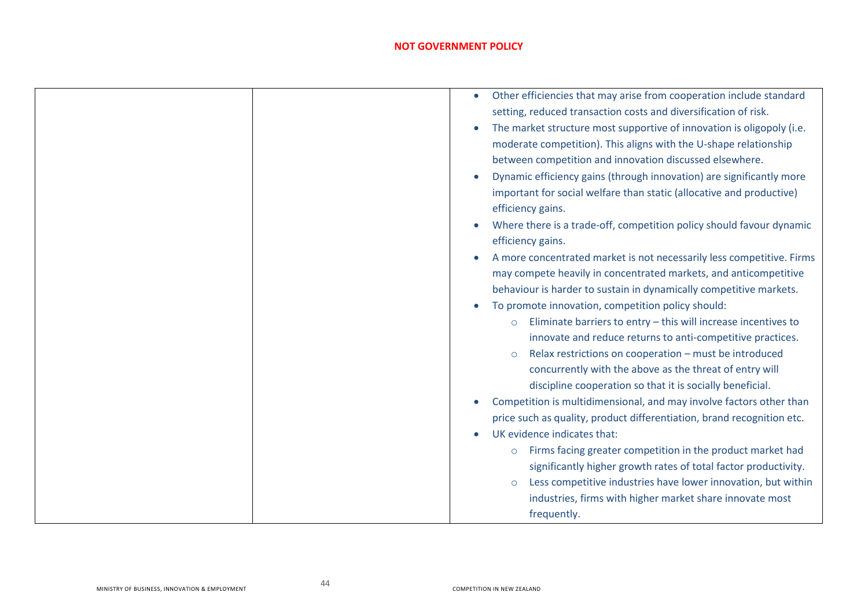| Other efficiencies that may arise from cooperation include standard       |
|---------------------------------------------------------------------------|
| setting, reduced transaction costs and diversification of risk.           |
| The market structure most supportive of innovation is oligopoly (i.e.     |
| moderate competition). This aligns with the U-shape relationship          |
| between competition and innovation discussed elsewhere.                   |
| Dynamic efficiency gains (through innovation) are significantly more      |
| important for social welfare than static (allocative and productive)      |
| efficiency gains.                                                         |
| Where there is a trade-off, competition policy should favour dynamic      |
| efficiency gains.                                                         |
| A more concentrated market is not necessarily less competitive. Firms     |
| may compete heavily in concentrated markets, and anticompetitive          |
| behaviour is harder to sustain in dynamically competitive markets.        |
| To promote innovation, competition policy should:                         |
| Eliminate barriers to entry - this will increase incentives to<br>$\circ$ |
| innovate and reduce returns to anti-competitive practices.                |
| Relax restrictions on cooperation - must be introduced<br>$\circ$         |
| concurrently with the above as the threat of entry will                   |
| discipline cooperation so that it is socially beneficial.                 |
| Competition is multidimensional, and may involve factors other than       |
| price such as quality, product differentiation, brand recognition etc.    |
| UK evidence indicates that:                                               |
| Firms facing greater competition in the product market had<br>$\circ$     |
| significantly higher growth rates of total factor productivity.           |
| Less competitive industries have lower innovation, but within<br>$\circ$  |
| industries, firms with higher market share innovate most                  |
| frequently.                                                               |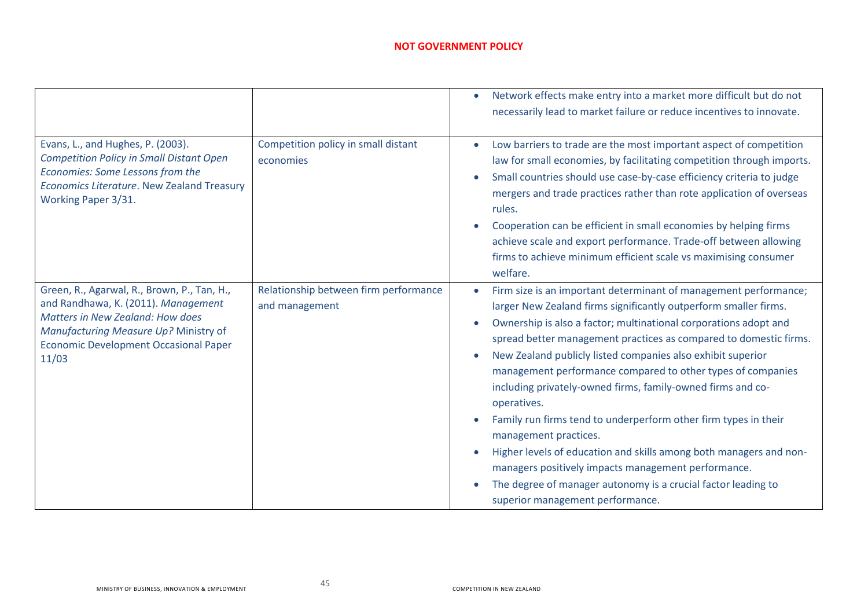|                                                                                                                                                                                                                                 |                                                         | Network effects make entry into a market more difficult but do not<br>necessarily lead to market failure or reduce incentives to innovate.                                                                                                                                                                                                                                                                                                                                                                                                                                                                                                                                                                                                                                                                              |
|---------------------------------------------------------------------------------------------------------------------------------------------------------------------------------------------------------------------------------|---------------------------------------------------------|-------------------------------------------------------------------------------------------------------------------------------------------------------------------------------------------------------------------------------------------------------------------------------------------------------------------------------------------------------------------------------------------------------------------------------------------------------------------------------------------------------------------------------------------------------------------------------------------------------------------------------------------------------------------------------------------------------------------------------------------------------------------------------------------------------------------------|
|                                                                                                                                                                                                                                 |                                                         |                                                                                                                                                                                                                                                                                                                                                                                                                                                                                                                                                                                                                                                                                                                                                                                                                         |
| Evans, L., and Hughes, P. (2003).<br><b>Competition Policy in Small Distant Open</b><br>Economies: Some Lessons from the<br>Economics Literature. New Zealand Treasury<br>Working Paper 3/31.                                   | Competition policy in small distant<br>economies        | Low barriers to trade are the most important aspect of competition<br>law for small economies, by facilitating competition through imports.<br>Small countries should use case-by-case efficiency criteria to judge<br>mergers and trade practices rather than rote application of overseas<br>rules.<br>Cooperation can be efficient in small economies by helping firms<br>achieve scale and export performance. Trade-off between allowing<br>firms to achieve minimum efficient scale vs maximising consumer<br>welfare.                                                                                                                                                                                                                                                                                            |
| Green, R., Agarwal, R., Brown, P., Tan, H.,<br>and Randhawa, K. (2011). Management<br><b>Matters in New Zealand: How does</b><br>Manufacturing Measure Up? Ministry of<br><b>Economic Development Occasional Paper</b><br>11/03 | Relationship between firm performance<br>and management | Firm size is an important determinant of management performance;<br>larger New Zealand firms significantly outperform smaller firms.<br>Ownership is also a factor; multinational corporations adopt and<br>spread better management practices as compared to domestic firms.<br>New Zealand publicly listed companies also exhibit superior<br>management performance compared to other types of companies<br>including privately-owned firms, family-owned firms and co-<br>operatives.<br>Family run firms tend to underperform other firm types in their<br>management practices.<br>Higher levels of education and skills among both managers and non-<br>managers positively impacts management performance.<br>The degree of manager autonomy is a crucial factor leading to<br>superior management performance. |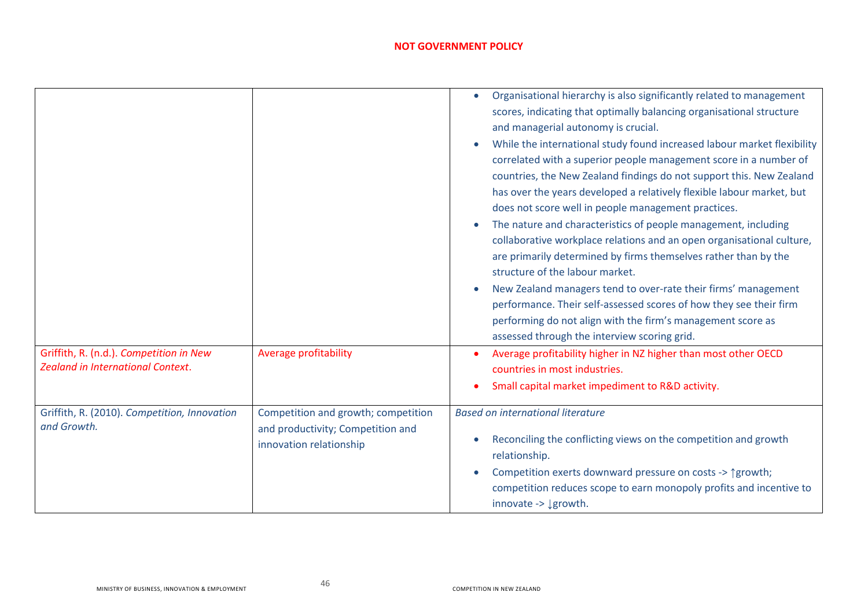|                                                                                     |                                                                                                     | Organisational hierarchy is also significantly related to management<br>scores, indicating that optimally balancing organisational structure<br>and managerial autonomy is crucial.<br>While the international study found increased labour market flexibility<br>correlated with a superior people management score in a number of<br>countries, the New Zealand findings do not support this. New Zealand<br>has over the years developed a relatively flexible labour market, but<br>does not score well in people management practices.<br>The nature and characteristics of people management, including<br>collaborative workplace relations and an open organisational culture,<br>are primarily determined by firms themselves rather than by the<br>structure of the labour market.<br>New Zealand managers tend to over-rate their firms' management<br>performance. Their self-assessed scores of how they see their firm<br>performing do not align with the firm's management score as<br>assessed through the interview scoring grid. |
|-------------------------------------------------------------------------------------|-----------------------------------------------------------------------------------------------------|-----------------------------------------------------------------------------------------------------------------------------------------------------------------------------------------------------------------------------------------------------------------------------------------------------------------------------------------------------------------------------------------------------------------------------------------------------------------------------------------------------------------------------------------------------------------------------------------------------------------------------------------------------------------------------------------------------------------------------------------------------------------------------------------------------------------------------------------------------------------------------------------------------------------------------------------------------------------------------------------------------------------------------------------------------|
| Griffith, R. (n.d.). Competition in New<br><b>Zealand in International Context.</b> | Average profitability                                                                               | Average profitability higher in NZ higher than most other OECD<br>countries in most industries.<br>Small capital market impediment to R&D activity.                                                                                                                                                                                                                                                                                                                                                                                                                                                                                                                                                                                                                                                                                                                                                                                                                                                                                                 |
| Griffith, R. (2010). Competition, Innovation<br>and Growth.                         | Competition and growth; competition<br>and productivity; Competition and<br>innovation relationship | <b>Based on international literature</b><br>Reconciling the conflicting views on the competition and growth<br>relationship.<br>Competition exerts downward pressure on costs -> 1 growth;<br>competition reduces scope to earn monopoly profits and incentive to<br>innovate -> ↓ growth.                                                                                                                                                                                                                                                                                                                                                                                                                                                                                                                                                                                                                                                                                                                                                          |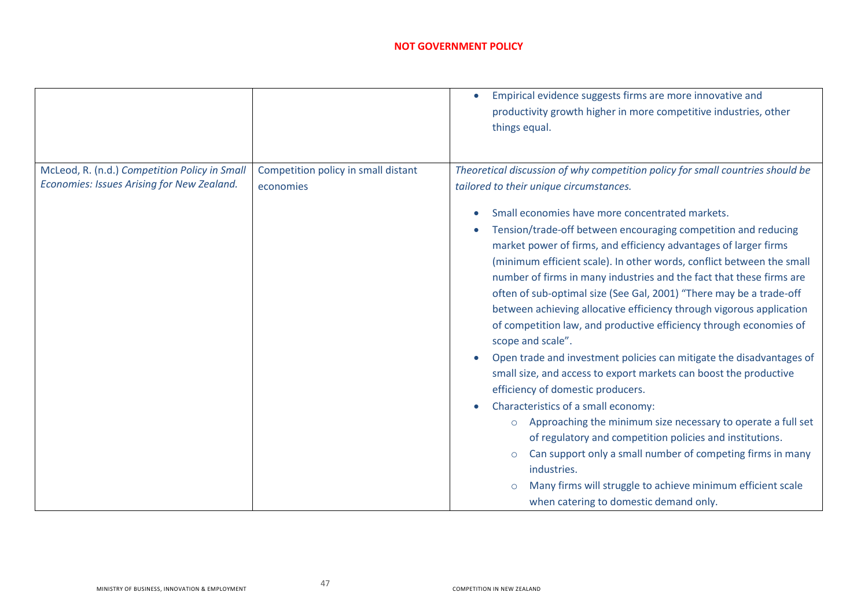|                                               |                                     | Empirical evidence suggests firms are more innovative and<br>productivity growth higher in more competitive industries, other<br>things equal.                                                                                                                                                                                                                                                                                                                                                                                                                                                                                                                                                                                                                                                                                                                                                                                                                                                                                                                                                                                                    |
|-----------------------------------------------|-------------------------------------|---------------------------------------------------------------------------------------------------------------------------------------------------------------------------------------------------------------------------------------------------------------------------------------------------------------------------------------------------------------------------------------------------------------------------------------------------------------------------------------------------------------------------------------------------------------------------------------------------------------------------------------------------------------------------------------------------------------------------------------------------------------------------------------------------------------------------------------------------------------------------------------------------------------------------------------------------------------------------------------------------------------------------------------------------------------------------------------------------------------------------------------------------|
| McLeod, R. (n.d.) Competition Policy in Small | Competition policy in small distant | Theoretical discussion of why competition policy for small countries should be                                                                                                                                                                                                                                                                                                                                                                                                                                                                                                                                                                                                                                                                                                                                                                                                                                                                                                                                                                                                                                                                    |
| Economies: Issues Arising for New Zealand.    | economies                           | tailored to their unique circumstances.                                                                                                                                                                                                                                                                                                                                                                                                                                                                                                                                                                                                                                                                                                                                                                                                                                                                                                                                                                                                                                                                                                           |
|                                               |                                     | Small economies have more concentrated markets.<br>Tension/trade-off between encouraging competition and reducing<br>market power of firms, and efficiency advantages of larger firms<br>(minimum efficient scale). In other words, conflict between the small<br>number of firms in many industries and the fact that these firms are<br>often of sub-optimal size (See Gal, 2001) "There may be a trade-off<br>between achieving allocative efficiency through vigorous application<br>of competition law, and productive efficiency through economies of<br>scope and scale".<br>Open trade and investment policies can mitigate the disadvantages of<br>small size, and access to export markets can boost the productive<br>efficiency of domestic producers.<br>Characteristics of a small economy:<br>Approaching the minimum size necessary to operate a full set<br>$\circ$<br>of regulatory and competition policies and institutions.<br>Can support only a small number of competing firms in many<br>$\circ$<br>industries.<br>Many firms will struggle to achieve minimum efficient scale<br>when catering to domestic demand only. |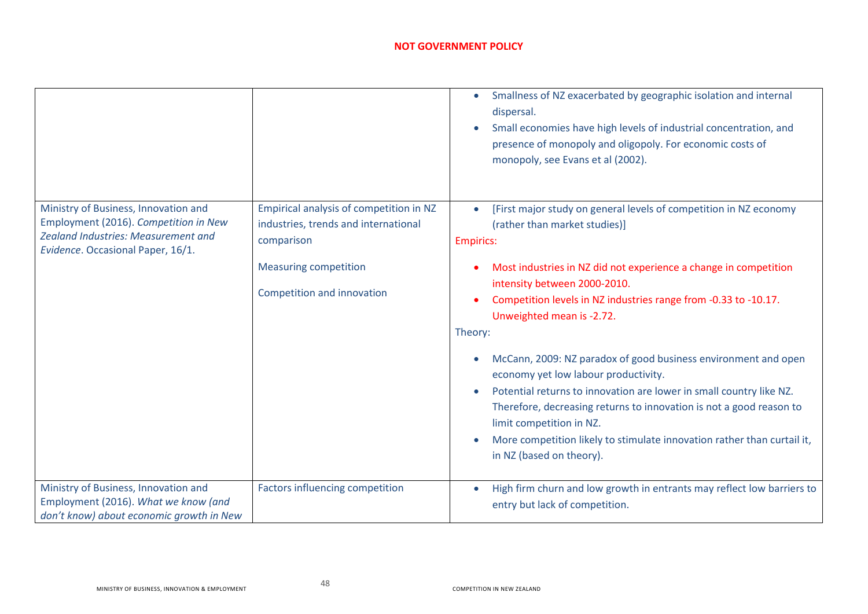|                                                                                                                                                                  |                                                                                                                                                             | Smallness of NZ exacerbated by geographic isolation and internal<br>$\bullet$<br>dispersal.<br>Small economies have high levels of industrial concentration, and<br>presence of monopoly and oligopoly. For economic costs of<br>monopoly, see Evans et al (2002).                                                                                                                                                                                                                                                                                                                                                                                                                                                               |
|------------------------------------------------------------------------------------------------------------------------------------------------------------------|-------------------------------------------------------------------------------------------------------------------------------------------------------------|----------------------------------------------------------------------------------------------------------------------------------------------------------------------------------------------------------------------------------------------------------------------------------------------------------------------------------------------------------------------------------------------------------------------------------------------------------------------------------------------------------------------------------------------------------------------------------------------------------------------------------------------------------------------------------------------------------------------------------|
| Ministry of Business, Innovation and<br>Employment (2016). Competition in New<br><b>Zealand Industries: Measurement and</b><br>Evidence. Occasional Paper, 16/1. | Empirical analysis of competition in NZ<br>industries, trends and international<br>comparison<br><b>Measuring competition</b><br>Competition and innovation | [First major study on general levels of competition in NZ economy<br>(rather than market studies)]<br><b>Empirics:</b><br>Most industries in NZ did not experience a change in competition<br>intensity between 2000-2010.<br>Competition levels in NZ industries range from -0.33 to -10.17.<br>Unweighted mean is -2.72.<br>Theory:<br>McCann, 2009: NZ paradox of good business environment and open<br>economy yet low labour productivity.<br>Potential returns to innovation are lower in small country like NZ.<br>Therefore, decreasing returns to innovation is not a good reason to<br>limit competition in NZ.<br>More competition likely to stimulate innovation rather than curtail it,<br>in NZ (based on theory). |
| Ministry of Business, Innovation and<br>Employment (2016). What we know (and<br>don't know) about economic growth in New                                         | Factors influencing competition                                                                                                                             | High firm churn and low growth in entrants may reflect low barriers to<br>entry but lack of competition.                                                                                                                                                                                                                                                                                                                                                                                                                                                                                                                                                                                                                         |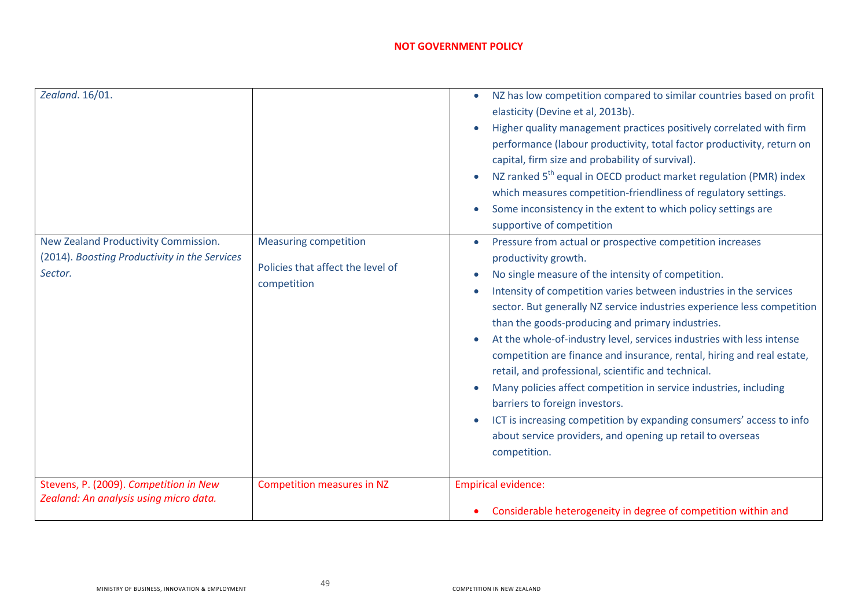| Zealand. 16/01.                                                                                  |                                                                                  | NZ has low competition compared to similar countries based on profit<br>elasticity (Devine et al, 2013b).<br>Higher quality management practices positively correlated with firm<br>performance (labour productivity, total factor productivity, return on<br>capital, firm size and probability of survival).<br>NZ ranked 5 <sup>th</sup> equal in OECD product market regulation (PMR) index<br>which measures competition-friendliness of regulatory settings.<br>Some inconsistency in the extent to which policy settings are<br>supportive of competition                                                                                                                                                                                                                                                    |
|--------------------------------------------------------------------------------------------------|----------------------------------------------------------------------------------|---------------------------------------------------------------------------------------------------------------------------------------------------------------------------------------------------------------------------------------------------------------------------------------------------------------------------------------------------------------------------------------------------------------------------------------------------------------------------------------------------------------------------------------------------------------------------------------------------------------------------------------------------------------------------------------------------------------------------------------------------------------------------------------------------------------------|
| New Zealand Productivity Commission.<br>(2014). Boosting Productivity in the Services<br>Sector. | <b>Measuring competition</b><br>Policies that affect the level of<br>competition | Pressure from actual or prospective competition increases<br>productivity growth.<br>No single measure of the intensity of competition.<br>Intensity of competition varies between industries in the services<br>sector. But generally NZ service industries experience less competition<br>than the goods-producing and primary industries.<br>At the whole-of-industry level, services industries with less intense<br>competition are finance and insurance, rental, hiring and real estate,<br>retail, and professional, scientific and technical.<br>Many policies affect competition in service industries, including<br>barriers to foreign investors.<br>ICT is increasing competition by expanding consumers' access to info<br>about service providers, and opening up retail to overseas<br>competition. |
| Stevens, P. (2009). Competition in New<br>Zealand: An analysis using micro data.                 | <b>Competition measures in NZ</b>                                                | <b>Empirical evidence:</b><br>Considerable heterogeneity in degree of competition within and                                                                                                                                                                                                                                                                                                                                                                                                                                                                                                                                                                                                                                                                                                                        |